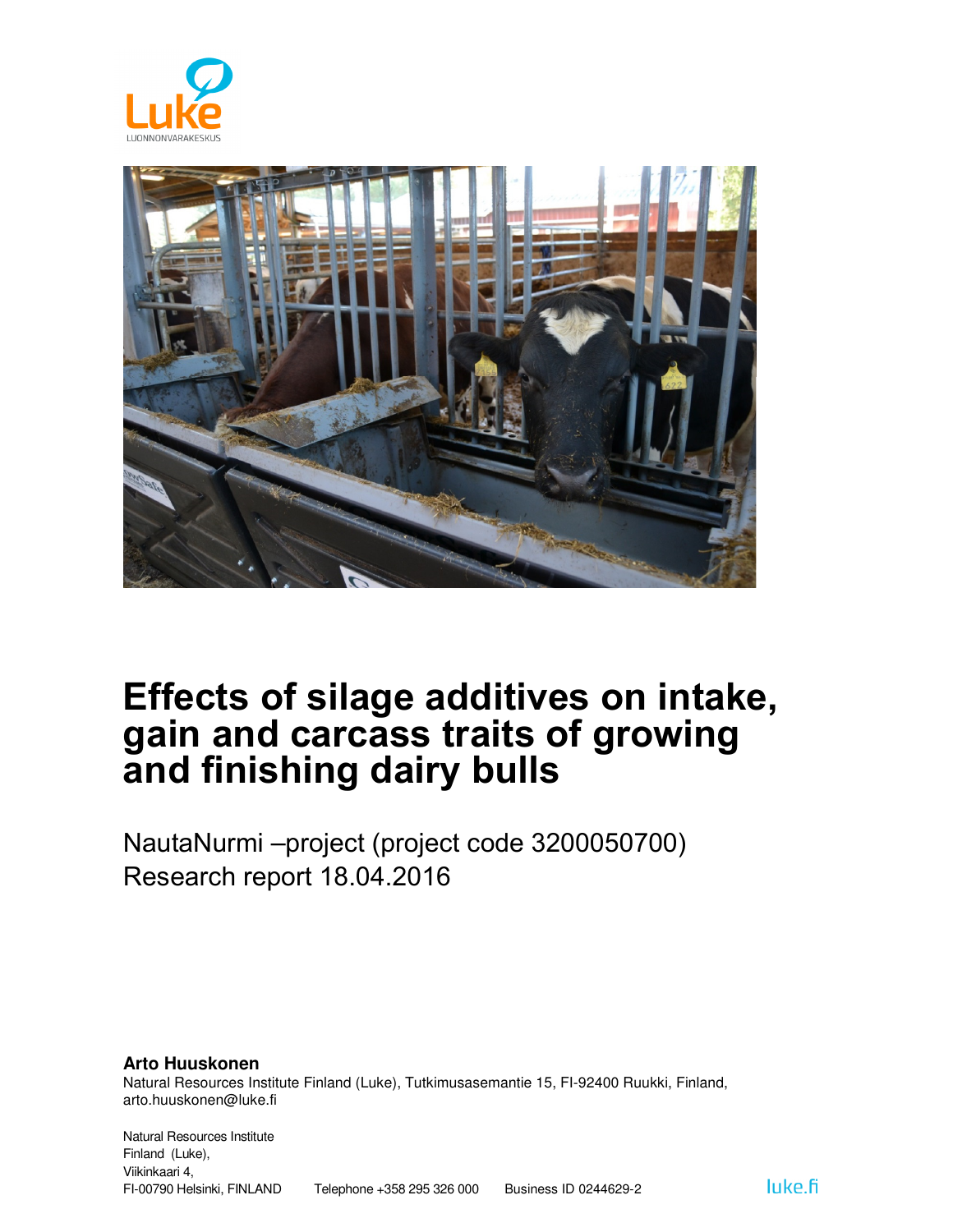



# Effects of silage additives on intake, gain and carcass traits of growing and finishing dairy bulls

NautaNurmi –project (project code 3200050700) Research report 18.04.2016

**Arto Huuskonen** Natural Resources Institute Finland (Luke), Tutkimusasemantie 15, FI-92400 Ruukki, Finland, arto.huuskonen@luke.fi

Natural Resources Institute Finland (Luke), Viikinkaari 4, FI-00790 Helsinki, FINLAND Telephone +358 295 326 000 Business ID 0244629-2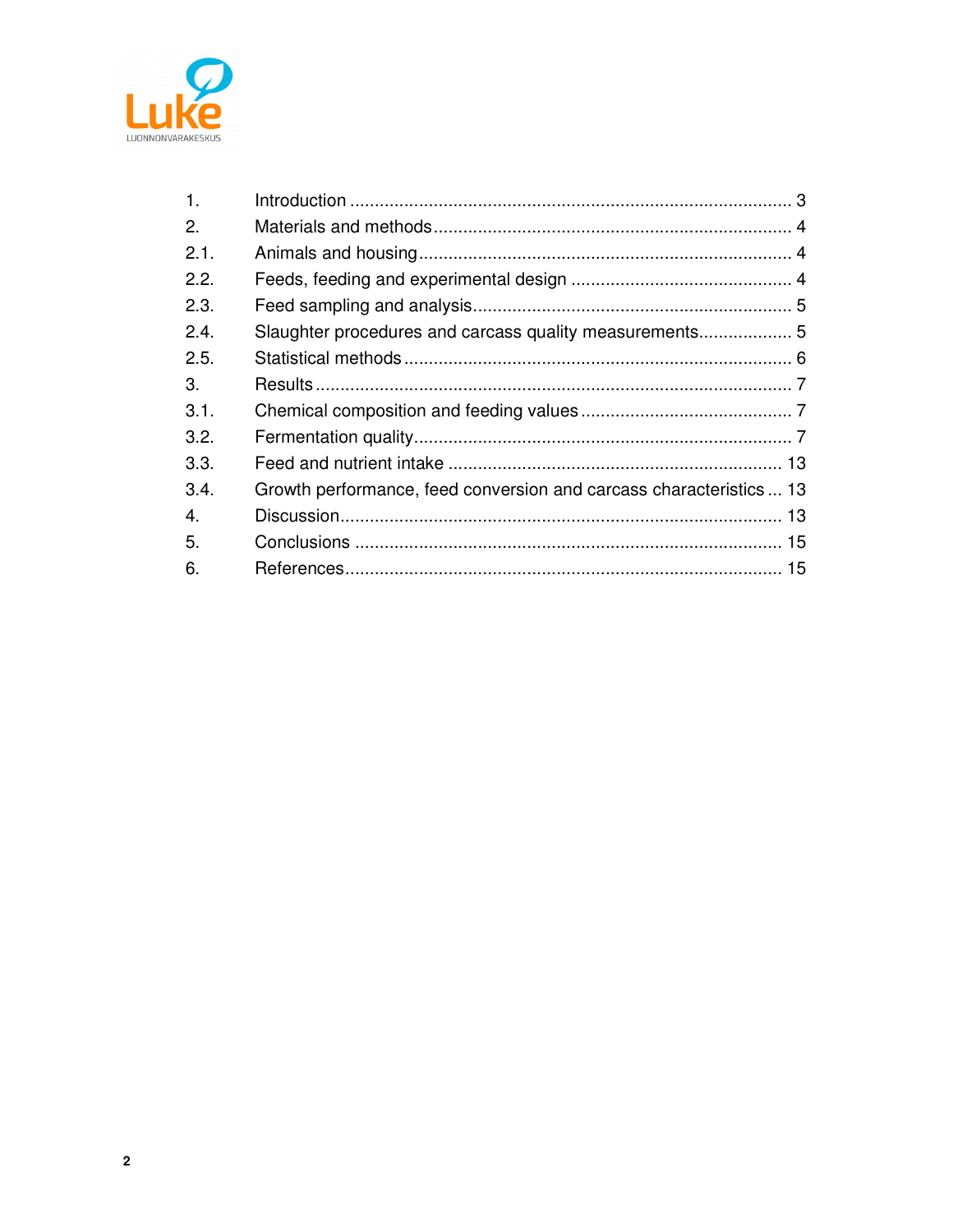

| $\mathbf{1}$ . |                                                                    |  |
|----------------|--------------------------------------------------------------------|--|
| 2.             |                                                                    |  |
| 2.1.           |                                                                    |  |
| 2.2.           |                                                                    |  |
| 2.3.           |                                                                    |  |
| 2.4.           | Slaughter procedures and carcass quality measurements 5            |  |
| 2.5.           |                                                                    |  |
| 3.             |                                                                    |  |
| 3.1.           |                                                                    |  |
| 3.2.           |                                                                    |  |
| 3.3.           |                                                                    |  |
| 3.4.           | Growth performance, feed conversion and carcass characteristics 13 |  |
| 4.             |                                                                    |  |
| 5.             |                                                                    |  |
| 6.             |                                                                    |  |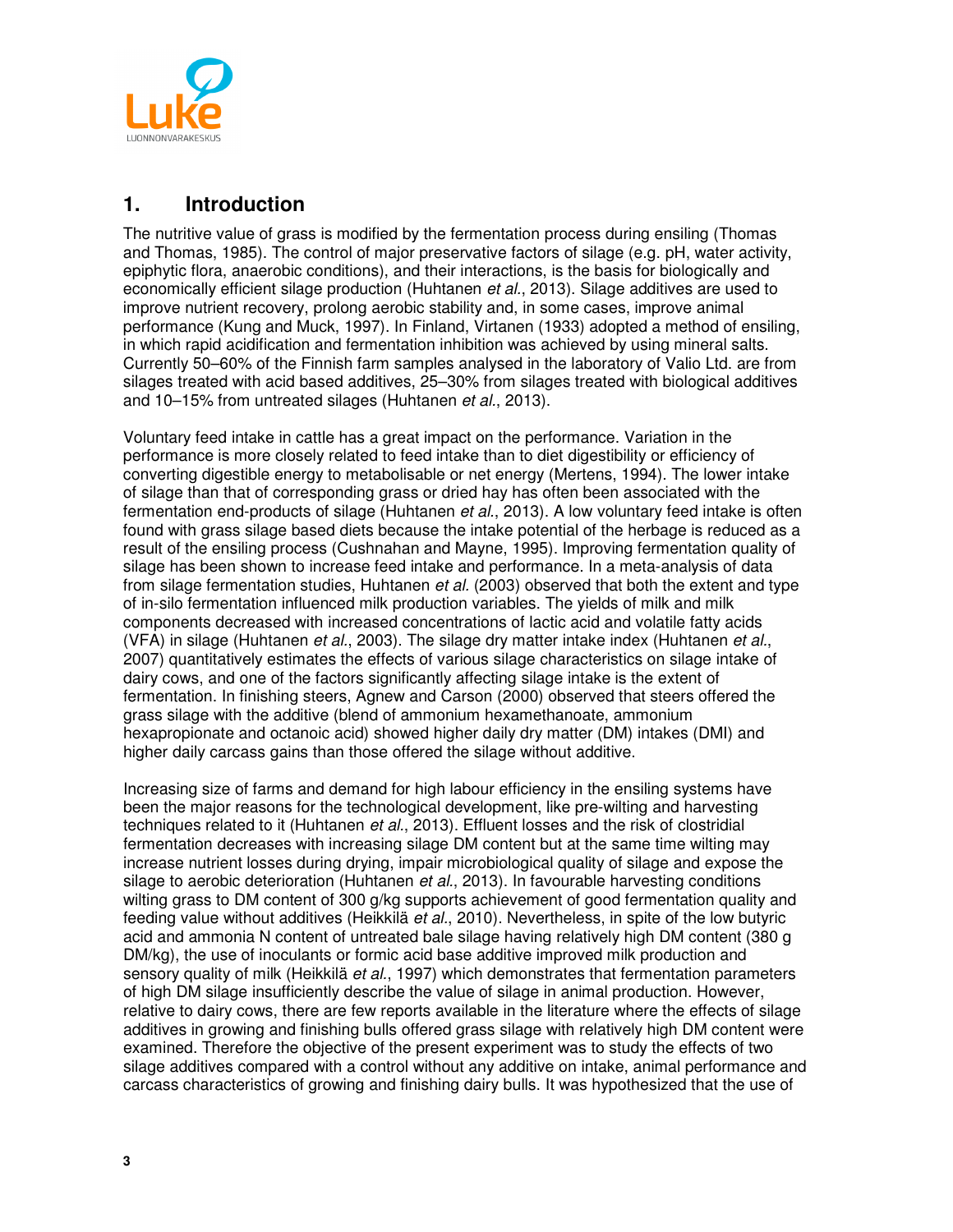

## **1. Introduction**

The nutritive value of grass is modified by the fermentation process during ensiling (Thomas and Thomas, 1985). The control of major preservative factors of silage (e.g. pH, water activity, epiphytic flora, anaerobic conditions), and their interactions, is the basis for biologically and economically efficient silage production (Huhtanen *et al.*, 2013). Silage additives are used to improve nutrient recovery, prolong aerobic stability and, in some cases, improve animal performance (Kung and Muck, 1997). In Finland, Virtanen (1933) adopted a method of ensiling, in which rapid acidification and fermentation inhibition was achieved by using mineral salts. Currently 50–60% of the Finnish farm samples analysed in the laboratory of Valio Ltd. are from silages treated with acid based additives, 25–30% from silages treated with biological additives and 10–15% from untreated silages (Huhtanen et al., 2013).

Voluntary feed intake in cattle has a great impact on the performance. Variation in the performance is more closely related to feed intake than to diet digestibility or efficiency of converting digestible energy to metabolisable or net energy (Mertens, 1994). The lower intake of silage than that of corresponding grass or dried hay has often been associated with the fermentation end-products of silage (Huhtanen et al., 2013). A low voluntary feed intake is often found with grass silage based diets because the intake potential of the herbage is reduced as a result of the ensiling process (Cushnahan and Mayne, 1995). Improving fermentation quality of silage has been shown to increase feed intake and performance. In a meta-analysis of data from silage fermentation studies, Huhtanen *et al.* (2003) observed that both the extent and type of in-silo fermentation influenced milk production variables. The yields of milk and milk components decreased with increased concentrations of lactic acid and volatile fatty acids (VFA) in silage (Huhtanen et al., 2003). The silage dry matter intake index (Huhtanen et al., 2007) quantitatively estimates the effects of various silage characteristics on silage intake of dairy cows, and one of the factors significantly affecting silage intake is the extent of fermentation. In finishing steers, Agnew and Carson (2000) observed that steers offered the grass silage with the additive (blend of ammonium hexamethanoate, ammonium hexapropionate and octanoic acid) showed higher daily dry matter (DM) intakes (DMI) and higher daily carcass gains than those offered the silage without additive.

Increasing size of farms and demand for high labour efficiency in the ensiling systems have been the major reasons for the technological development, like pre-wilting and harvesting techniques related to it (Huhtanen et al., 2013). Effluent losses and the risk of clostridial fermentation decreases with increasing silage DM content but at the same time wilting may increase nutrient losses during drying, impair microbiological quality of silage and expose the silage to aerobic deterioration (Huhtanen et al., 2013). In favourable harvesting conditions wilting grass to DM content of 300 g/kg supports achievement of good fermentation quality and feeding value without additives (Heikkilä et al., 2010). Nevertheless, in spite of the low butyric acid and ammonia N content of untreated bale silage having relatively high DM content (380 g DM/kg), the use of inoculants or formic acid base additive improved milk production and sensory quality of milk (Heikkilä et al., 1997) which demonstrates that fermentation parameters of high DM silage insufficiently describe the value of silage in animal production. However, relative to dairy cows, there are few reports available in the literature where the effects of silage additives in growing and finishing bulls offered grass silage with relatively high DM content were examined. Therefore the objective of the present experiment was to study the effects of two silage additives compared with a control without any additive on intake, animal performance and carcass characteristics of growing and finishing dairy bulls. It was hypothesized that the use of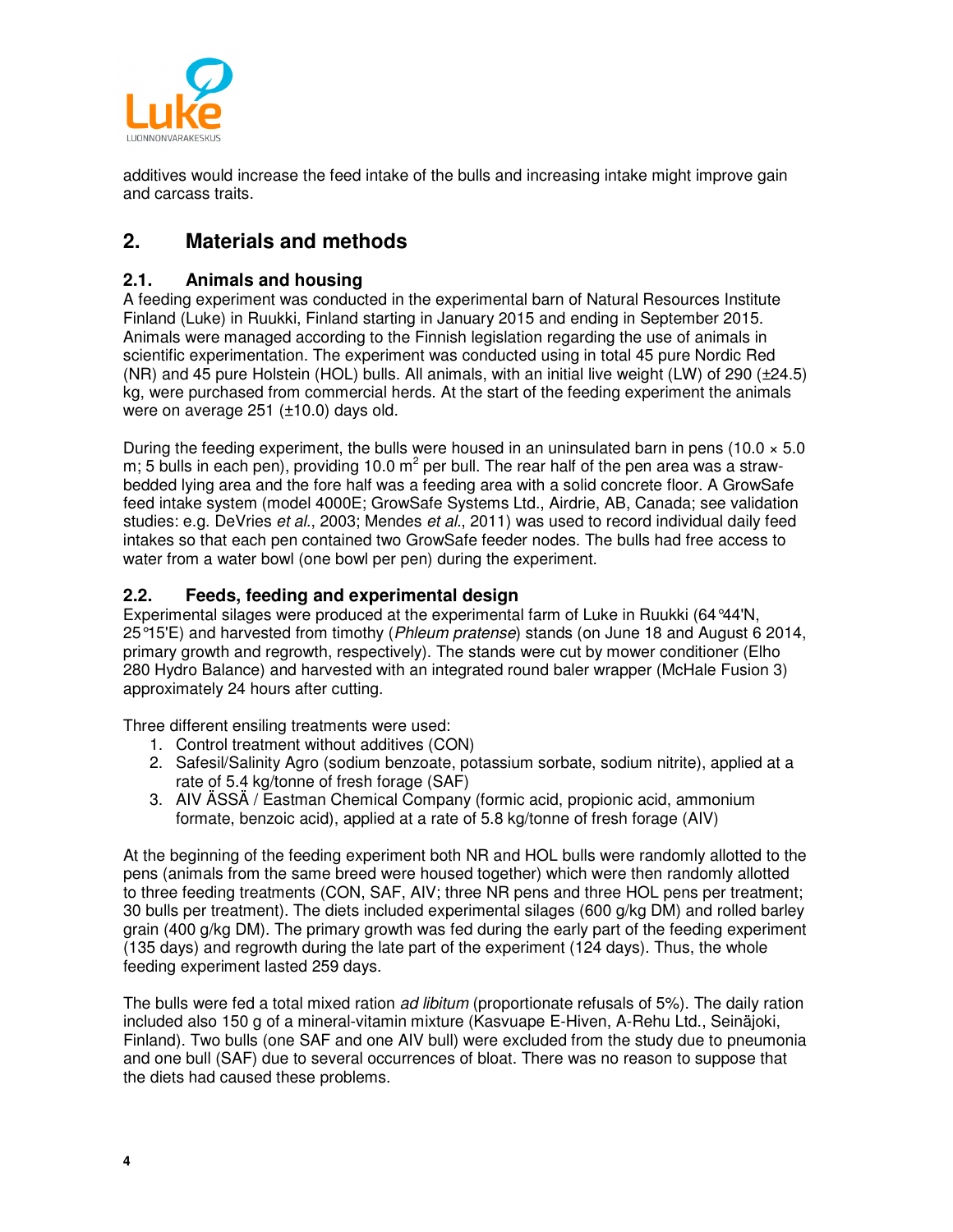

additives would increase the feed intake of the bulls and increasing intake might improve gain and carcass traits.

## **2. Materials and methods**

#### **2.1. Animals and housing**

A feeding experiment was conducted in the experimental barn of Natural Resources Institute Finland (Luke) in Ruukki, Finland starting in January 2015 and ending in September 2015. Animals were managed according to the Finnish legislation regarding the use of animals in scientific experimentation. The experiment was conducted using in total 45 pure Nordic Red (NR) and 45 pure Holstein (HOL) bulls. All animals, with an initial live weight (LW) of 290 (±24.5) kg, were purchased from commercial herds. At the start of the feeding experiment the animals were on average 251 (±10.0) days old.

During the feeding experiment, the bulls were housed in an uninsulated barn in pens (10.0  $\times$  5.0 m; 5 bulls in each pen), providing 10.0 m<sup>2</sup> per bull. The rear half of the pen area was a strawbedded lying area and the fore half was a feeding area with a solid concrete floor. A GrowSafe feed intake system (model 4000E; GrowSafe Systems Ltd., Airdrie, AB, Canada; see validation studies: e.g. DeVries et al., 2003; Mendes et al., 2011) was used to record individual daily feed intakes so that each pen contained two GrowSafe feeder nodes. The bulls had free access to water from a water bowl (one bowl per pen) during the experiment.

#### **2.2. Feeds, feeding and experimental design**

Experimental silages were produced at the experimental farm of Luke in Ruukki (64°44'N, 25°15'E) and harvested from timothy (Phleum pratense) stands (on June 18 and August 6 2014, primary growth and regrowth, respectively). The stands were cut by mower conditioner (Elho 280 Hydro Balance) and harvested with an integrated round baler wrapper (McHale Fusion 3) approximately 24 hours after cutting.

Three different ensiling treatments were used:

- 1. Control treatment without additives (CON)
- 2. Safesil/Salinity Agro (sodium benzoate, potassium sorbate, sodium nitrite), applied at a rate of 5.4 kg/tonne of fresh forage (SAF)
- 3. AIV ÄSSÄ / Eastman Chemical Company (formic acid, propionic acid, ammonium formate, benzoic acid), applied at a rate of 5.8 kg/tonne of fresh forage (AIV)

At the beginning of the feeding experiment both NR and HOL bulls were randomly allotted to the pens (animals from the same breed were housed together) which were then randomly allotted to three feeding treatments (CON, SAF, AIV; three NR pens and three HOL pens per treatment; 30 bulls per treatment). The diets included experimental silages (600 g/kg DM) and rolled barley grain (400 g/kg DM). The primary growth was fed during the early part of the feeding experiment (135 days) and regrowth during the late part of the experiment (124 days). Thus, the whole feeding experiment lasted 259 days.

The bulls were fed a total mixed ration *ad libitum* (proportionate refusals of 5%). The daily ration included also 150 g of a mineral-vitamin mixture (Kasvuape E-Hiven, A-Rehu Ltd., Seinäjoki, Finland). Two bulls (one SAF and one AIV bull) were excluded from the study due to pneumonia and one bull (SAF) due to several occurrences of bloat. There was no reason to suppose that the diets had caused these problems.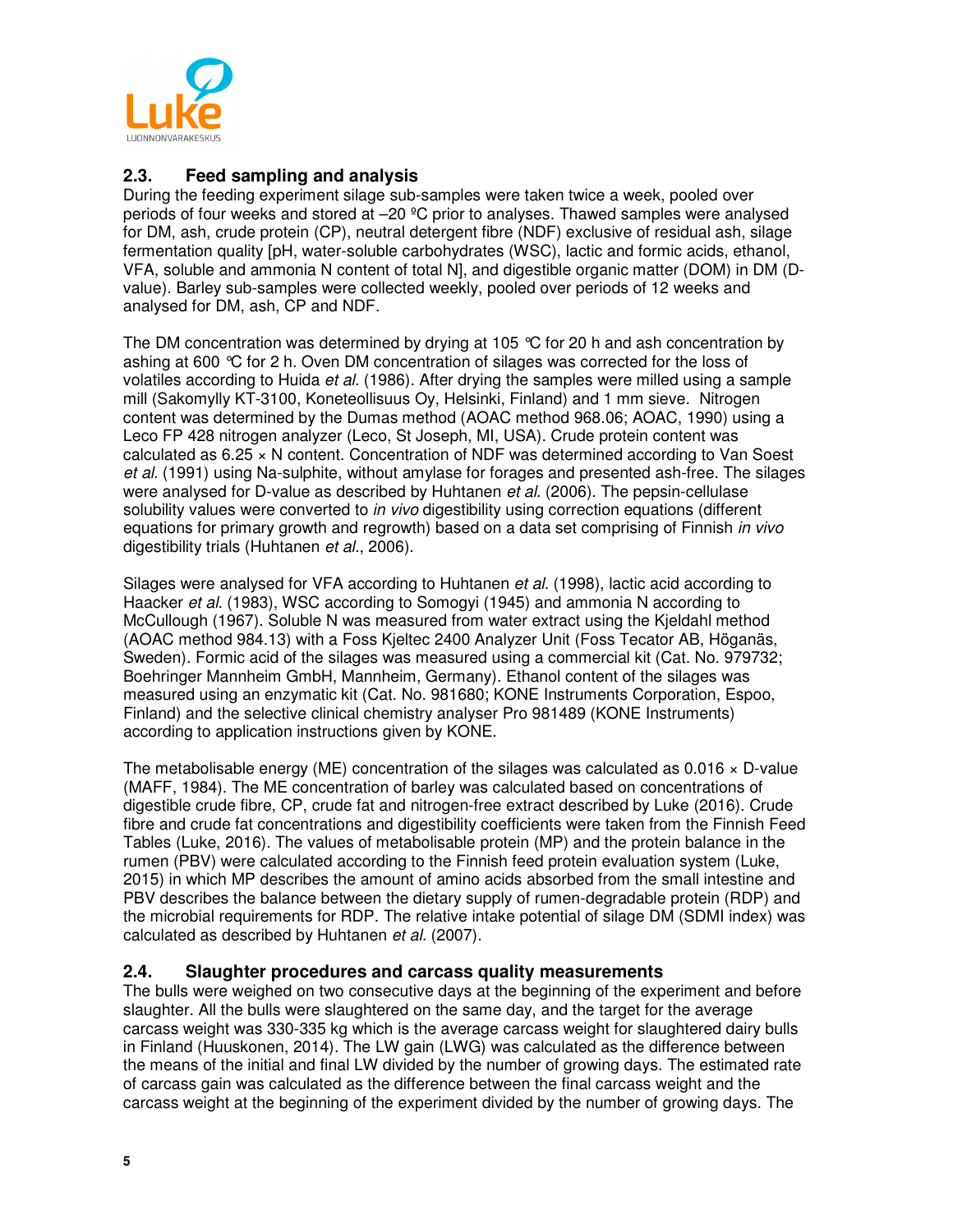

#### **2.3. Feed sampling and analysis**

During the feeding experiment silage sub-samples were taken twice a week, pooled over periods of four weeks and stored at  $-20$  °C prior to analyses. Thawed samples were analysed for DM, ash, crude protein (CP), neutral detergent fibre (NDF) exclusive of residual ash, silage fermentation quality [pH, water-soluble carbohydrates (WSC), lactic and formic acids, ethanol, VFA, soluble and ammonia N content of total N], and digestible organic matter (DOM) in DM (Dvalue). Barley sub-samples were collected weekly, pooled over periods of 12 weeks and analysed for DM, ash, CP and NDF.

The DM concentration was determined by drying at 105 °C for 20 h and ash concentration by ashing at 600 °C for 2 h. Oven DM concentration of silages was corrected for the loss of volatiles according to Huida et al. (1986). After drying the samples were milled using a sample mill (Sakomylly KT-3100, Koneteollisuus Oy, Helsinki, Finland) and 1 mm sieve. Nitrogen content was determined by the Dumas method (AOAC method 968.06; AOAC, 1990) using a Leco FP 428 nitrogen analyzer (Leco, St Joseph, MI, USA). Crude protein content was calculated as 6.25 × N content. Concentration of NDF was determined according to Van Soest et al. (1991) using Na-sulphite, without amylase for forages and presented ash-free. The silages were analysed for D-value as described by Huhtanen et al. (2006). The pepsin-cellulase solubility values were converted to in vivo digestibility using correction equations (different equations for primary growth and regrowth) based on a data set comprising of Finnish in vivo digestibility trials (Huhtanen et al., 2006).

Silages were analysed for VFA according to Huhtanen et al. (1998), lactic acid according to Haacker et al. (1983), WSC according to Somogyi (1945) and ammonia N according to McCullough (1967). Soluble N was measured from water extract using the Kjeldahl method (AOAC method 984.13) with a Foss Kjeltec 2400 Analyzer Unit (Foss Tecator AB, Höganäs, Sweden). Formic acid of the silages was measured using a commercial kit (Cat. No. 979732; Boehringer Mannheim GmbH, Mannheim, Germany). Ethanol content of the silages was measured using an enzymatic kit (Cat. No. 981680; KONE Instruments Corporation, Espoo, Finland) and the selective clinical chemistry analyser Pro 981489 (KONE Instruments) according to application instructions given by KONE.

The metabolisable energy (ME) concentration of the silages was calculated as  $0.016 \times D$ -value (MAFF, 1984). The ME concentration of barley was calculated based on concentrations of digestible crude fibre, CP, crude fat and nitrogen-free extract described by Luke (2016). Crude fibre and crude fat concentrations and digestibility coefficients were taken from the Finnish Feed Tables (Luke, 2016). The values of metabolisable protein (MP) and the protein balance in the rumen (PBV) were calculated according to the Finnish feed protein evaluation system (Luke, 2015) in which MP describes the amount of amino acids absorbed from the small intestine and PBV describes the balance between the dietary supply of rumen-degradable protein (RDP) and the microbial requirements for RDP. The relative intake potential of silage DM (SDMI index) was calculated as described by Huhtanen et al. (2007).

#### **2.4. Slaughter procedures and carcass quality measurements**

The bulls were weighed on two consecutive days at the beginning of the experiment and before slaughter. All the bulls were slaughtered on the same day, and the target for the average carcass weight was 330-335 kg which is the average carcass weight for slaughtered dairy bulls in Finland (Huuskonen, 2014). The LW gain (LWG) was calculated as the difference between the means of the initial and final LW divided by the number of growing days. The estimated rate of carcass gain was calculated as the difference between the final carcass weight and the carcass weight at the beginning of the experiment divided by the number of growing days. The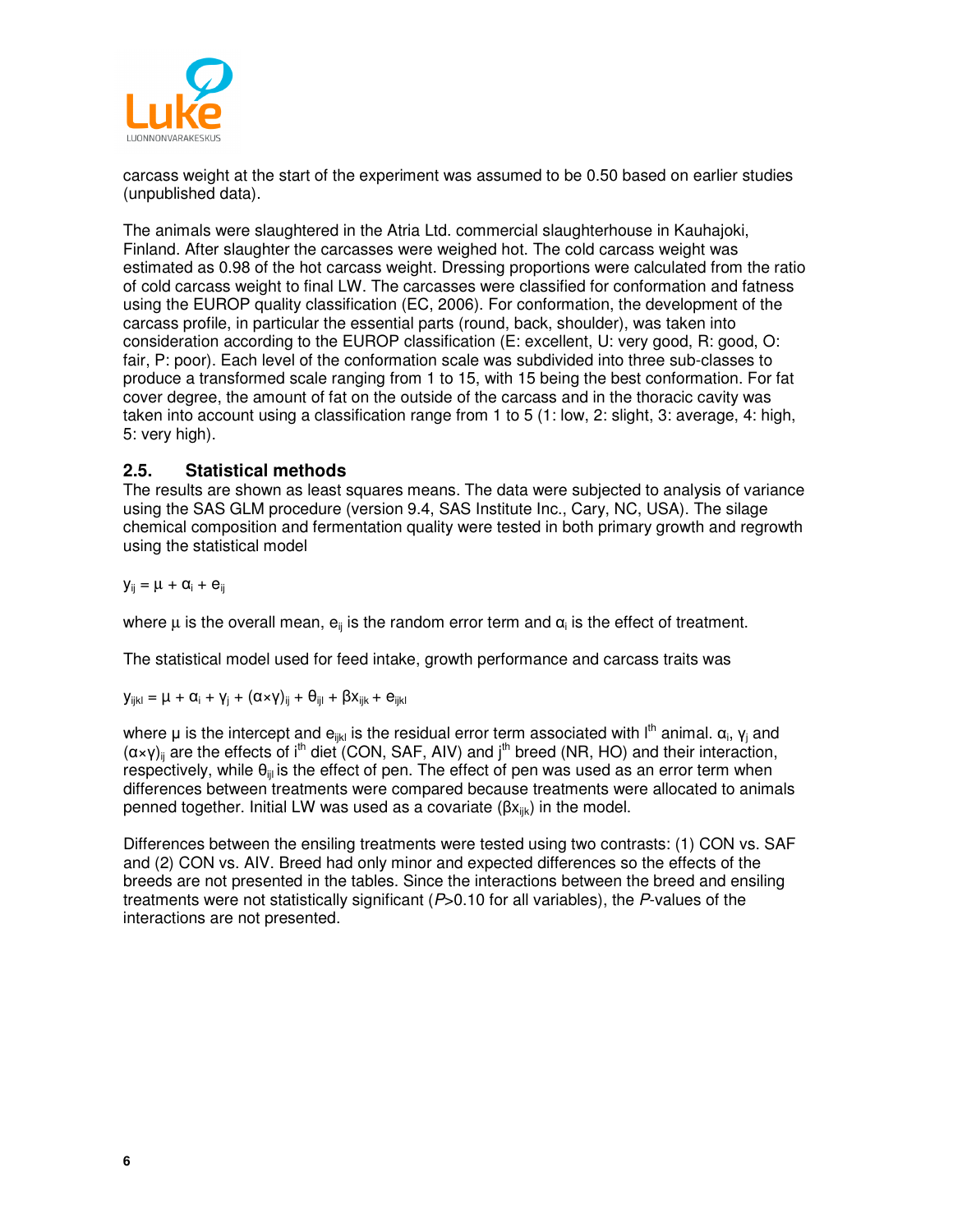

carcass weight at the start of the experiment was assumed to be 0.50 based on earlier studies (unpublished data).

The animals were slaughtered in the Atria Ltd. commercial slaughterhouse in Kauhajoki, Finland. After slaughter the carcasses were weighed hot. The cold carcass weight was estimated as 0.98 of the hot carcass weight. Dressing proportions were calculated from the ratio of cold carcass weight to final LW. The carcasses were classified for conformation and fatness using the EUROP quality classification (EC, 2006). For conformation, the development of the carcass profile, in particular the essential parts (round, back, shoulder), was taken into consideration according to the EUROP classification (E: excellent, U: very good, R: good, O: fair, P: poor). Each level of the conformation scale was subdivided into three sub-classes to produce a transformed scale ranging from 1 to 15, with 15 being the best conformation. For fat cover degree, the amount of fat on the outside of the carcass and in the thoracic cavity was taken into account using a classification range from 1 to 5 (1: low, 2: slight, 3: average, 4: high, 5: very high).

#### **2.5. Statistical methods**

The results are shown as least squares means. The data were subjected to analysis of variance using the SAS GLM procedure (version 9.4, SAS Institute Inc., Cary, NC, USA). The silage chemical composition and fermentation quality were tested in both primary growth and regrowth using the statistical model

$$
y_{ij} = \mu + \alpha_i + e_{ij}
$$

where  $\mu$  is the overall mean,  $e_{ii}$  is the random error term and  $\alpha_i$  is the effect of treatment.

The statistical model used for feed intake, growth performance and carcass traits was

$$
y_{ijkl} = \mu + \alpha_i + \gamma_j + (\alpha {\times} \gamma)_{ij} + \theta_{ijl} + \beta x_{ijk} + e_{ijkl}
$$

where µ is the intercept and  $e_{ijkl}$  is the residual error term associated with  $I^{th}$  animal.  $\alpha_i$ ,  $\gamma_i$  and  $(\alpha \times \gamma)_{ii}$  are the effects of i<sup>th</sup> diet (CON, SAF, AIV) and j<sup>th</sup> breed (NR, HO) and their interaction, respectively, while  $\theta_{\text{iii}}$  is the effect of pen. The effect of pen was used as an error term when differences between treatments were compared because treatments were allocated to animals penned together. Initial LW was used as a covariate  $(βx_{iik})$  in the model.

Differences between the ensiling treatments were tested using two contrasts: (1) CON vs. SAF and (2) CON vs. AIV. Breed had only minor and expected differences so the effects of the breeds are not presented in the tables. Since the interactions between the breed and ensiling treatments were not statistically significant  $(P>0.10$  for all variables), the P-values of the interactions are not presented.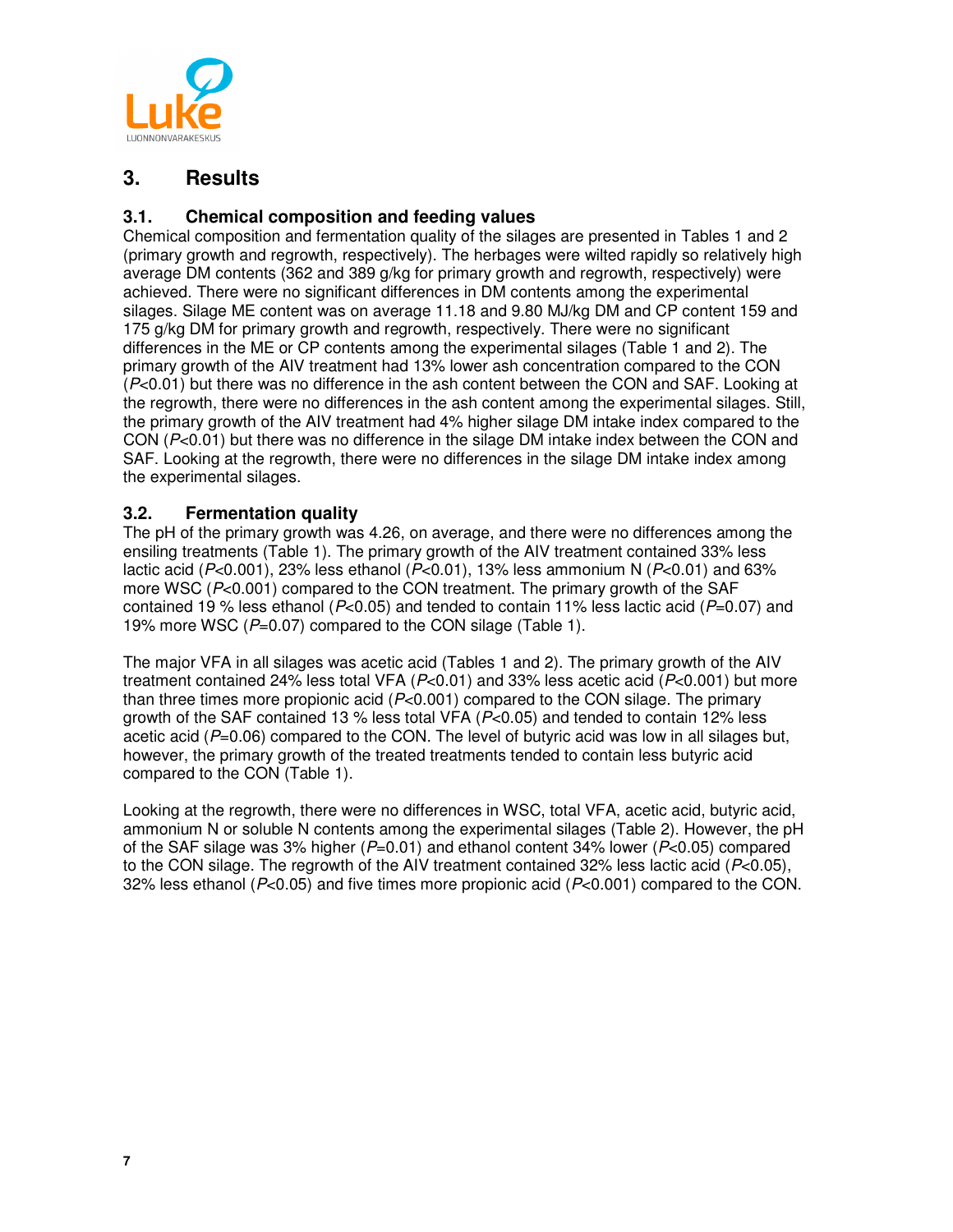

## **3. Results**

#### **3.1. Chemical composition and feeding values**

Chemical composition and fermentation quality of the silages are presented in Tables 1 and 2 (primary growth and regrowth, respectively). The herbages were wilted rapidly so relatively high average DM contents (362 and 389 g/kg for primary growth and regrowth, respectively) were achieved. There were no significant differences in DM contents among the experimental silages. Silage ME content was on average 11.18 and 9.80 MJ/kg DM and CP content 159 and 175 g/kg DM for primary growth and regrowth, respectively. There were no significant differences in the ME or CP contents among the experimental silages (Table 1 and 2). The primary growth of the AIV treatment had 13% lower ash concentration compared to the CON (P<0.01) but there was no difference in the ash content between the CON and SAF. Looking at the regrowth, there were no differences in the ash content among the experimental silages. Still, the primary growth of the AIV treatment had 4% higher silage DM intake index compared to the CON  $(P<0.01)$  but there was no difference in the silage DM intake index between the CON and SAF. Looking at the regrowth, there were no differences in the silage DM intake index among the experimental silages.

#### **3.2. Fermentation quality**

The pH of the primary growth was 4.26, on average, and there were no differences among the ensiling treatments (Table 1). The primary growth of the AIV treatment contained 33% less lactic acid ( $P<0.001$ ), 23% less ethanol ( $P<0.01$ ), 13% less ammonium N ( $P<0.01$ ) and 63% more WSC (P<0.001) compared to the CON treatment. The primary growth of the SAF contained 19 % less ethanol ( $P<0.05$ ) and tended to contain 11% less lactic acid ( $P=0.07$ ) and 19% more WSC  $(P=0.07)$  compared to the CON silage (Table 1).

The major VFA in all silages was acetic acid (Tables 1 and 2). The primary growth of the AIV treatment contained 24% less total VFA ( $P<0.01$ ) and 33% less acetic acid ( $P<0.001$ ) but more than three times more propionic acid  $(P<0.001)$  compared to the CON silage. The primary growth of the SAF contained 13 % less total VFA ( $P<0.05$ ) and tended to contain 12% less acetic acid ( $P=0.06$ ) compared to the CON. The level of butyric acid was low in all silages but, however, the primary growth of the treated treatments tended to contain less butyric acid compared to the CON (Table 1).

Looking at the regrowth, there were no differences in WSC, total VFA, acetic acid, butyric acid, ammonium N or soluble N contents among the experimental silages (Table 2). However, the pH of the SAF silage was 3% higher  $(P=0.01)$  and ethanol content 34% lower  $(P<0.05)$  compared to the CON silage. The regrowth of the AIV treatment contained 32% less lactic acid ( $P<0.05$ ), 32% less ethanol ( $P<0.05$ ) and five times more propionic acid ( $P<0.001$ ) compared to the CON.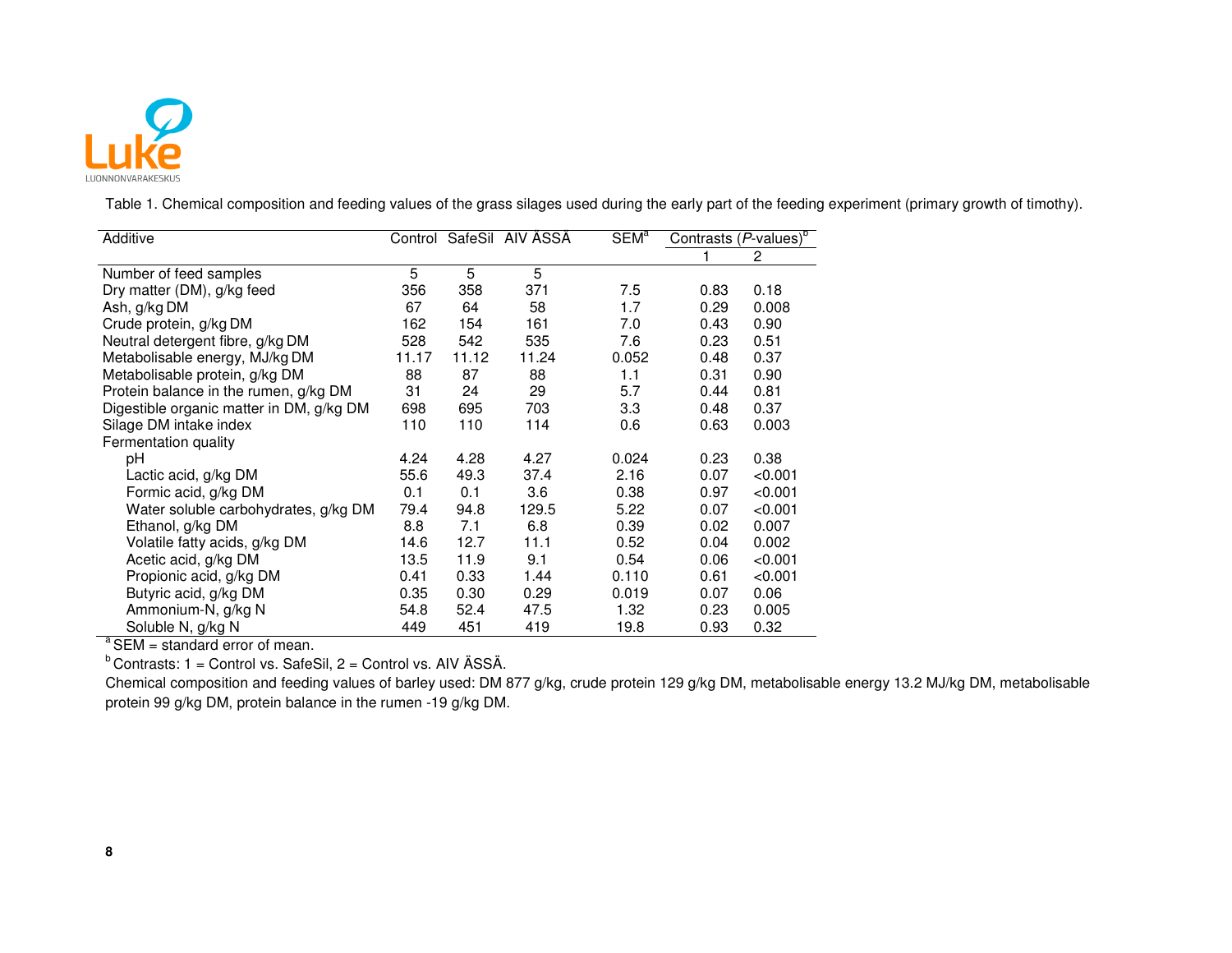

Table 1. Chemical composition and feeding values of the grass silages used during the early part of the feeding experiment (primary growth of timothy).

| Additive                                 |       |       | Control SafeSil AIV ÄSSÄ | <b>SEM</b> <sup>a</sup> | Contrasts $(P$ -values) <sup>b</sup> |         |
|------------------------------------------|-------|-------|--------------------------|-------------------------|--------------------------------------|---------|
|                                          |       |       |                          |                         |                                      | 2       |
| Number of feed samples                   | 5     | 5     | 5                        |                         |                                      |         |
| Dry matter (DM), g/kg feed               | 356   | 358   | 371                      | 7.5                     | 0.83                                 | 0.18    |
| Ash, g/kg DM                             | 67    | 64    | 58                       | 1.7                     | 0.29                                 | 0.008   |
| Crude protein, g/kg DM                   | 162   | 154   | 161                      | 7.0                     | 0.43                                 | 0.90    |
| Neutral detergent fibre, g/kg DM         | 528   | 542   | 535                      | 7.6                     | 0.23                                 | 0.51    |
| Metabolisable energy, MJ/kg DM           | 11.17 | 11.12 | 11.24                    | 0.052                   | 0.48                                 | 0.37    |
| Metabolisable protein, g/kg DM           | 88    | 87    | 88                       | 1.1                     | 0.31                                 | 0.90    |
| Protein balance in the rumen, g/kg DM    | 31    | 24    | 29                       | 5.7                     | 0.44                                 | 0.81    |
| Digestible organic matter in DM, g/kg DM | 698   | 695   | 703                      | 3.3                     | 0.48                                 | 0.37    |
| Silage DM intake index                   | 110   | 110   | 114                      | 0.6                     | 0.63                                 | 0.003   |
| Fermentation quality                     |       |       |                          |                         |                                      |         |
| pH                                       | 4.24  | 4.28  | 4.27                     | 0.024                   | 0.23                                 | 0.38    |
| Lactic acid, g/kg DM                     | 55.6  | 49.3  | 37.4                     | 2.16                    | 0.07                                 | < 0.001 |
| Formic acid, g/kg DM                     | 0.1   | 0.1   | 3.6                      | 0.38                    | 0.97                                 | < 0.001 |
| Water soluble carbohydrates, g/kg DM     | 79.4  | 94.8  | 129.5                    | 5.22                    | 0.07                                 | < 0.001 |
| Ethanol, g/kg DM                         | 8.8   | 7.1   | 6.8                      | 0.39                    | 0.02                                 | 0.007   |
| Volatile fatty acids, g/kg DM            | 14.6  | 12.7  | 11.1                     | 0.52                    | 0.04                                 | 0.002   |
| Acetic acid, g/kg DM                     | 13.5  | 11.9  | 9.1                      | 0.54                    | 0.06                                 | < 0.001 |
| Propionic acid, g/kg DM                  | 0.41  | 0.33  | 1.44                     | 0.110                   | 0.61                                 | < 0.001 |
| Butyric acid, g/kg DM                    | 0.35  | 0.30  | 0.29                     | 0.019                   | 0.07                                 | 0.06    |
| Ammonium-N, g/kg N                       | 54.8  | 52.4  | 47.5                     | 1.32                    | 0.23                                 | 0.005   |
| Soluble N, g/kg N<br>$2 - 1$             | 449   | 451   | 419                      | 19.8                    | 0.93                                 | 0.32    |

 $a<sup>a</sup>$  SEM = standard error of mean.

 $b$  Contrasts: 1 = Control vs. SafeSil, 2 = Control vs. AIV ÄSSÄ.

 Chemical composition and feeding values of barley used: DM 877 g/kg, crude protein 129 g/kg DM, metabolisable energy 13.2 MJ/kg DM, metabolisable protein 99 g/kg DM, protein balance in the rumen -19 g/kg DM.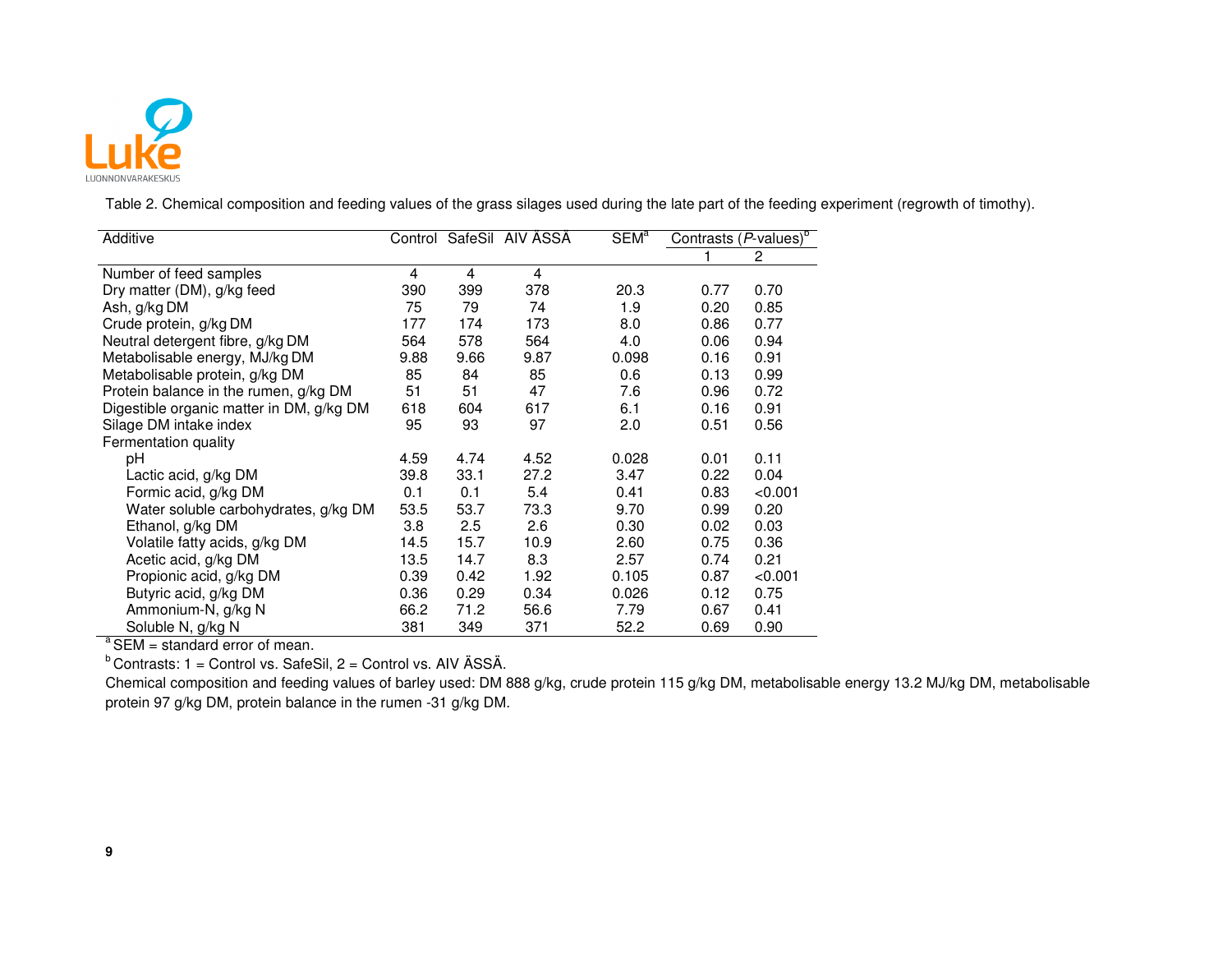

Table 2. Chemical composition and feeding values of the grass silages used during the late part of the feeding experiment (regrowth of timothy).

| Additive                                 | Control |      | SafeSil AIV ÄSSÄ | SEM <sup>a</sup> | Contrasts (P-values) <sup>b</sup> |              |
|------------------------------------------|---------|------|------------------|------------------|-----------------------------------|--------------|
|                                          |         |      |                  |                  |                                   | $\mathbf{2}$ |
| Number of feed samples                   | 4       | 4    | 4                |                  |                                   |              |
| Dry matter (DM), g/kg feed               | 390     | 399  | 378              | 20.3             | 0.77                              | 0.70         |
| Ash, g/kg DM                             | 75      | 79   | 74               | 1.9              | 0.20                              | 0.85         |
| Crude protein, g/kg DM                   | 177     | 174  | 173              | 8.0              | 0.86                              | 0.77         |
| Neutral detergent fibre, g/kg DM         | 564     | 578  | 564              | 4.0              | 0.06                              | 0.94         |
| Metabolisable energy, MJ/kg DM           | 9.88    | 9.66 | 9.87             | 0.098            | 0.16                              | 0.91         |
| Metabolisable protein, g/kg DM           | 85      | 84   | 85               | 0.6              | 0.13                              | 0.99         |
| Protein balance in the rumen, g/kg DM    | 51      | 51   | 47               | 7.6              | 0.96                              | 0.72         |
| Digestible organic matter in DM, g/kg DM | 618     | 604  | 617              | 6.1              | 0.16                              | 0.91         |
| Silage DM intake index                   | 95      | 93   | 97               | 2.0              | 0.51                              | 0.56         |
| Fermentation quality                     |         |      |                  |                  |                                   |              |
| pH                                       | 4.59    | 4.74 | 4.52             | 0.028            | 0.01                              | 0.11         |
| Lactic acid, g/kg DM                     | 39.8    | 33.1 | 27.2             | 3.47             | 0.22                              | 0.04         |
| Formic acid, g/kg DM                     | 0.1     | 0.1  | 5.4              | 0.41             | 0.83                              | < 0.001      |
| Water soluble carbohydrates, g/kg DM     | 53.5    | 53.7 | 73.3             | 9.70             | 0.99                              | 0.20         |
| Ethanol, g/kg DM                         | 3.8     | 2.5  | 2.6              | 0.30             | 0.02                              | 0.03         |
| Volatile fatty acids, g/kg DM            | 14.5    | 15.7 | 10.9             | 2.60             | 0.75                              | 0.36         |
| Acetic acid, g/kg DM                     | 13.5    | 14.7 | 8.3              | 2.57             | 0.74                              | 0.21         |
| Propionic acid, g/kg DM                  | 0.39    | 0.42 | 1.92             | 0.105            | 0.87                              | < 0.001      |
| Butyric acid, g/kg DM                    | 0.36    | 0.29 | 0.34             | 0.026            | 0.12                              | 0.75         |
| Ammonium-N, g/kg N                       | 66.2    | 71.2 | 56.6             | 7.79             | 0.67                              | 0.41         |
| Soluble N, g/kg N<br>$2 - 1$             | 381     | 349  | 371              | 52.2             | 0.69                              | 0.90         |

 $a<sup>a</sup>$  SEM = standard error of mean.

 $b$  Contrasts: 1 = Control vs. SafeSil, 2 = Control vs. AIV ÄSSÄ.

 Chemical composition and feeding values of barley used: DM 888 g/kg, crude protein 115 g/kg DM, metabolisable energy 13.2 MJ/kg DM, metabolisable protein 97 g/kg DM, protein balance in the rumen -31 g/kg DM.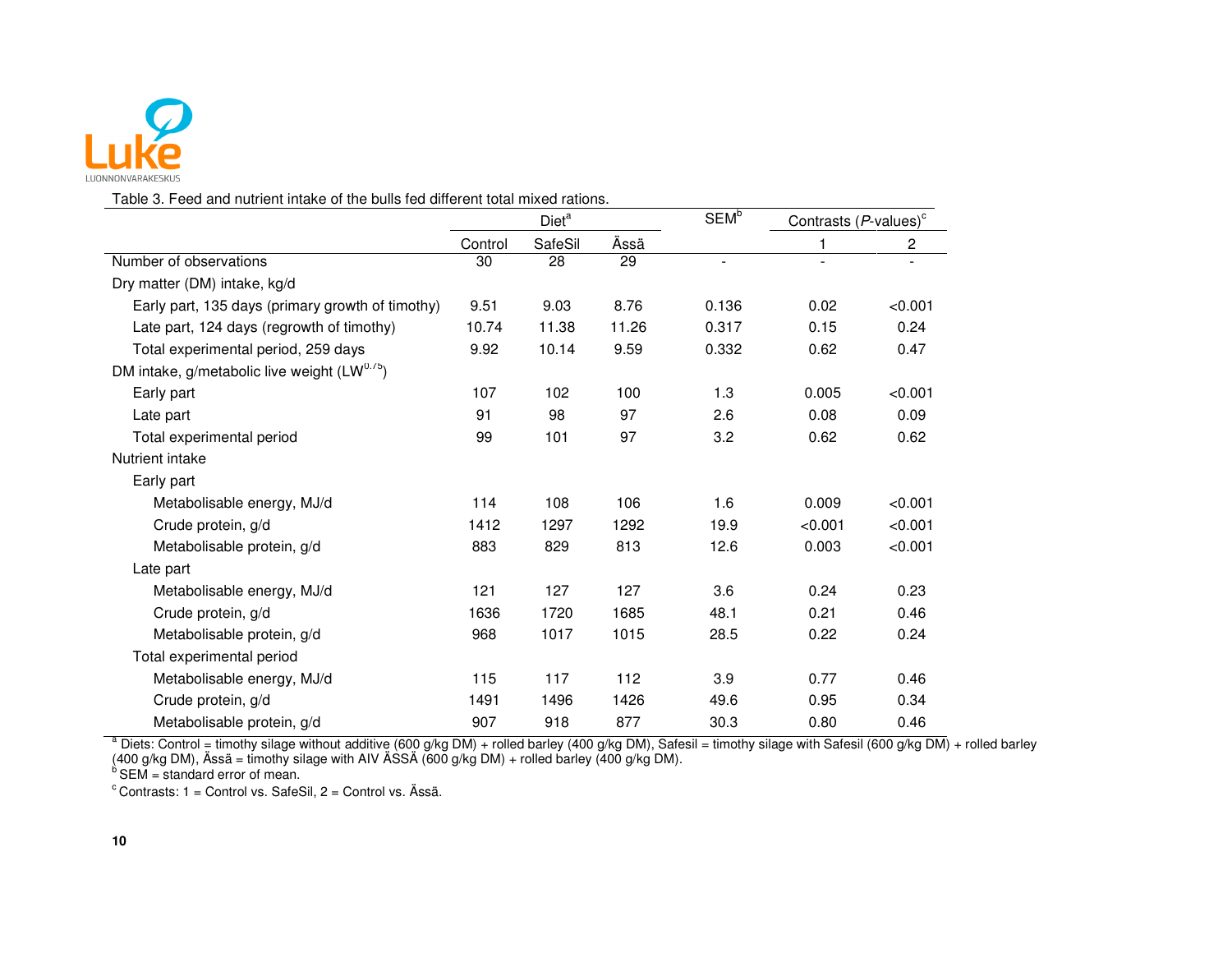

Table 3. Feed and nutrient intake of the bulls fed different total mixed rations.

|                                                          | Diet <sup>a</sup> |         |       | <b>SEM</b> <sup>b</sup>  | Contrasts $(P$ -values) <sup>c</sup> |                         |
|----------------------------------------------------------|-------------------|---------|-------|--------------------------|--------------------------------------|-------------------------|
|                                                          | Control           | SafeSil | Ässä  |                          | 1                                    | $\overline{\mathbf{c}}$ |
| Number of observations                                   | 30                | 28      | 29    | $\overline{\phantom{a}}$ |                                      |                         |
| Dry matter (DM) intake, kg/d                             |                   |         |       |                          |                                      |                         |
| Early part, 135 days (primary growth of timothy)         | 9.51              | 9.03    | 8.76  | 0.136                    | 0.02                                 | < 0.001                 |
| Late part, 124 days (regrowth of timothy)                | 10.74             | 11.38   | 11.26 | 0.317                    | 0.15                                 | 0.24                    |
| Total experimental period, 259 days                      | 9.92              | 10.14   | 9.59  | 0.332                    | 0.62                                 | 0.47                    |
| DM intake, g/metabolic live weight (LW <sup>0.75</sup> ) |                   |         |       |                          |                                      |                         |
| Early part                                               | 107               | 102     | 100   | 1.3                      | 0.005                                | < 0.001                 |
| Late part                                                | 91                | 98      | 97    | 2.6                      | 0.08                                 | 0.09                    |
| Total experimental period                                | 99                | 101     | 97    | 3.2                      | 0.62                                 | 0.62                    |
| Nutrient intake                                          |                   |         |       |                          |                                      |                         |
| Early part                                               |                   |         |       |                          |                                      |                         |
| Metabolisable energy, MJ/d                               | 114               | 108     | 106   | 1.6                      | 0.009                                | < 0.001                 |
| Crude protein, g/d                                       | 1412              | 1297    | 1292  | 19.9                     | < 0.001                              | < 0.001                 |
| Metabolisable protein, g/d                               | 883               | 829     | 813   | 12.6                     | 0.003                                | < 0.001                 |
| Late part                                                |                   |         |       |                          |                                      |                         |
| Metabolisable energy, MJ/d                               | 121               | 127     | 127   | 3.6                      | 0.24                                 | 0.23                    |
| Crude protein, g/d                                       | 1636              | 1720    | 1685  | 48.1                     | 0.21                                 | 0.46                    |
| Metabolisable protein, g/d                               | 968               | 1017    | 1015  | 28.5                     | 0.22                                 | 0.24                    |
| Total experimental period                                |                   |         |       |                          |                                      |                         |
| Metabolisable energy, MJ/d                               | 115               | 117     | 112   | 3.9                      | 0.77                                 | 0.46                    |
| Crude protein, g/d                                       | 1491              | 1496    | 1426  | 49.6                     | 0.95                                 | 0.34                    |
| Metabolisable protein, g/d                               | 907               | 918     | 877   | 30.3                     | 0.80                                 | 0.46                    |

Metabolisable protein, g/d<br>
<sup>a</sup> Diets: Control = timothy silage without additive (600 g/kg DM) + rolled barley (400 g/kg DM), Safesil = timothy silage with Safesil (600 g/kg DM) + rolled barley<br>(400 g/kg DM), Ässä = timot

 $c$  Contrasts: 1 = Control vs. SafeSil, 2 = Control vs. Ässä.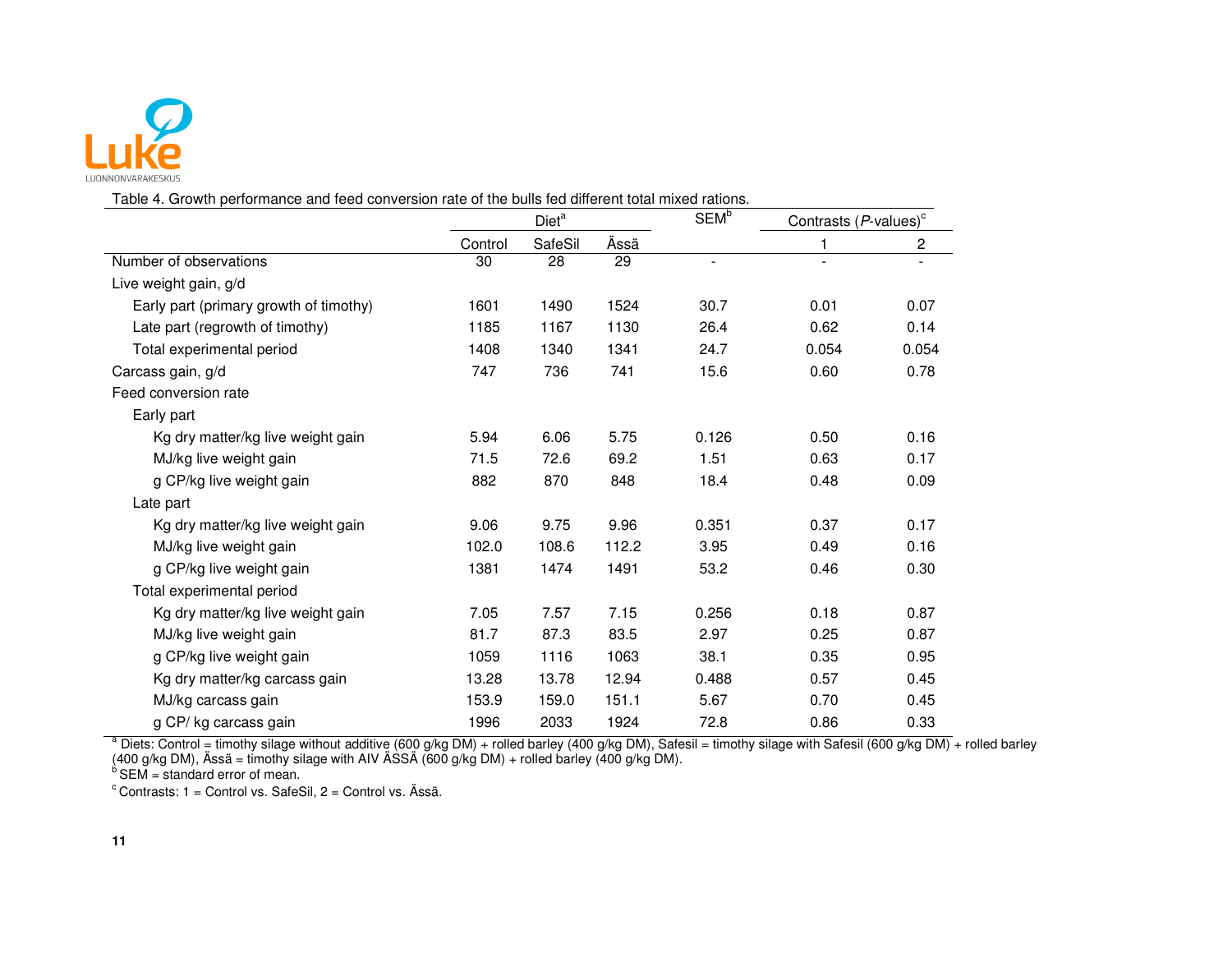

Table 4. Growth performance and feed conversion rate of the bulls fed different total mixed rations.

|                                        |         | Diet <sup>a</sup> |       | <b>SEM</b> <sup>b</sup> | Contrasts $(P$ -values) $\circ$ |       |
|----------------------------------------|---------|-------------------|-------|-------------------------|---------------------------------|-------|
|                                        | Control | SafeSil           | Ässä  |                         | 1                               | 2     |
| Number of observations                 | 30      | 28                | 29    | ä,                      | $\overline{\phantom{a}}$        |       |
| Live weight gain, g/d                  |         |                   |       |                         |                                 |       |
| Early part (primary growth of timothy) | 1601    | 1490              | 1524  | 30.7                    | 0.01                            | 0.07  |
| Late part (regrowth of timothy)        | 1185    | 1167              | 1130  | 26.4                    | 0.62                            | 0.14  |
| Total experimental period              | 1408    | 1340              | 1341  | 24.7                    | 0.054                           | 0.054 |
| Carcass gain, g/d                      | 747     | 736               | 741   | 15.6                    | 0.60                            | 0.78  |
| Feed conversion rate                   |         |                   |       |                         |                                 |       |
| Early part                             |         |                   |       |                         |                                 |       |
| Kg dry matter/kg live weight gain      | 5.94    | 6.06              | 5.75  | 0.126                   | 0.50                            | 0.16  |
| MJ/kg live weight gain                 | 71.5    | 72.6              | 69.2  | 1.51                    | 0.63                            | 0.17  |
| g CP/kg live weight gain               | 882     | 870               | 848   | 18.4                    | 0.48                            | 0.09  |
| Late part                              |         |                   |       |                         |                                 |       |
| Kg dry matter/kg live weight gain      | 9.06    | 9.75              | 9.96  | 0.351                   | 0.37                            | 0.17  |
| MJ/kg live weight gain                 | 102.0   | 108.6             | 112.2 | 3.95                    | 0.49                            | 0.16  |
| g CP/kg live weight gain               | 1381    | 1474              | 1491  | 53.2                    | 0.46                            | 0.30  |
| Total experimental period              |         |                   |       |                         |                                 |       |
| Kg dry matter/kg live weight gain      | 7.05    | 7.57              | 7.15  | 0.256                   | 0.18                            | 0.87  |
| MJ/kg live weight gain                 | 81.7    | 87.3              | 83.5  | 2.97                    | 0.25                            | 0.87  |
| g CP/kg live weight gain               | 1059    | 1116              | 1063  | 38.1                    | 0.35                            | 0.95  |
| Kg dry matter/kg carcass gain          | 13.28   | 13.78             | 12.94 | 0.488                   | 0.57                            | 0.45  |
| MJ/kg carcass gain                     | 153.9   | 159.0             | 151.1 | 5.67                    | 0.70                            | 0.45  |
| g CP/ kg carcass gain                  | 1996    | 2033              | 1924  | 72.8                    | 0.86                            | 0.33  |

g CP/ kg carcass gain and the unity of the distribution of the distribution of the distribution of the distribution of the distribution of the distribution of the distribution of the distribution of the distribution of the

 $c$  Contrasts: 1 = Control vs. SafeSil, 2 = Control vs. Ässä.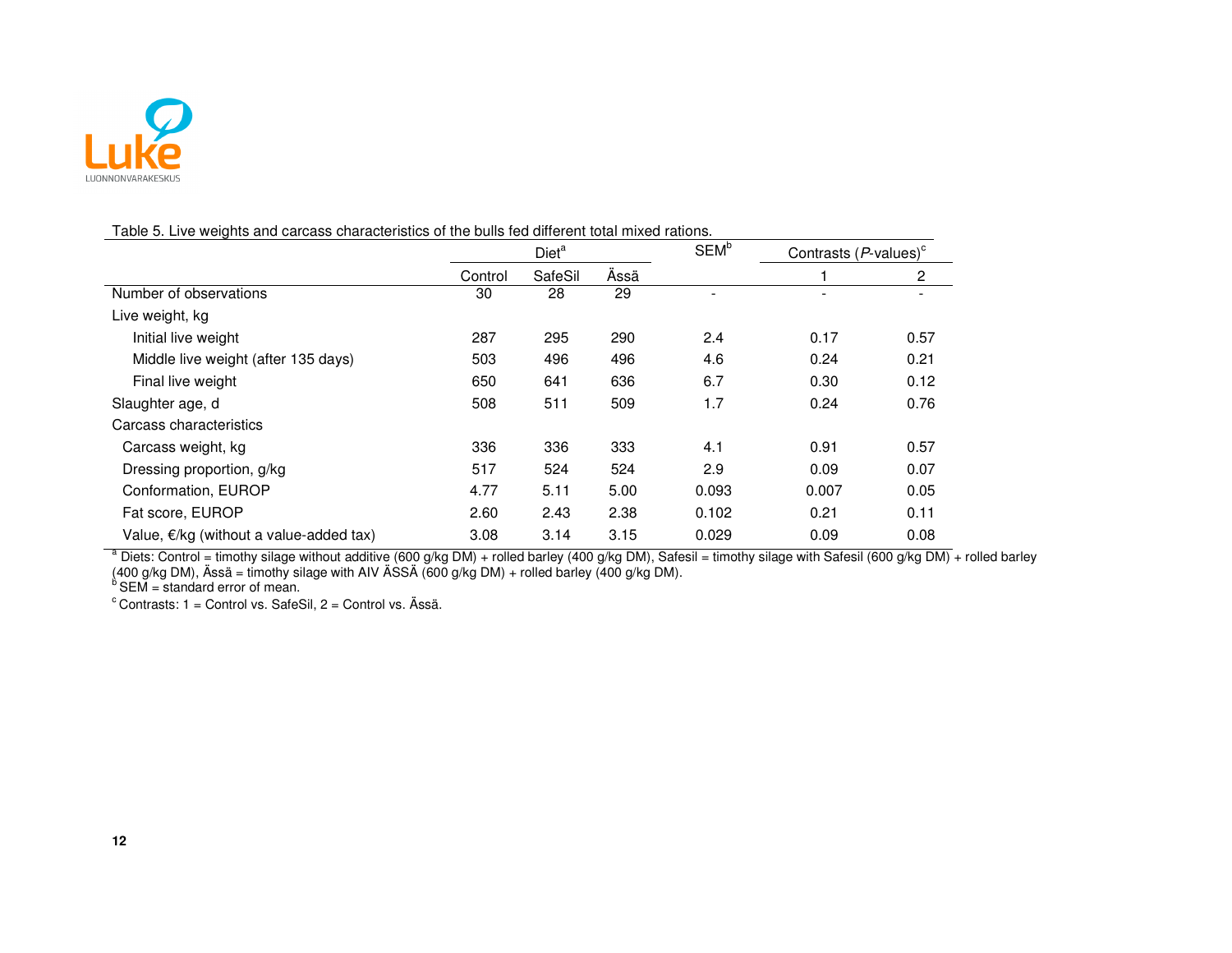

#### Table 5. Live weights and carcass characteristics of the bulls fed different total mixed rations.

|                                                   | Diet <sup>a</sup> |         | SEM <sup>b</sup> | Contrasts $(P$ -values) <sup>c</sup> |       |              |
|---------------------------------------------------|-------------------|---------|------------------|--------------------------------------|-------|--------------|
|                                                   | Control           | SafeSil | Assä             |                                      |       | $\mathbf{2}$ |
| Number of observations                            | 30                | 28      | 29               |                                      |       |              |
| Live weight, kg                                   |                   |         |                  |                                      |       |              |
| Initial live weight                               | 287               | 295     | 290              | 2.4                                  | 0.17  | 0.57         |
| Middle live weight (after 135 days)               | 503               | 496     | 496              | 4.6                                  | 0.24  | 0.21         |
| Final live weight                                 | 650               | 641     | 636              | 6.7                                  | 0.30  | 0.12         |
| Slaughter age, d                                  | 508               | 511     | 509              | 1.7                                  | 0.24  | 0.76         |
| Carcass characteristics                           |                   |         |                  |                                      |       |              |
| Carcass weight, kg                                | 336               | 336     | 333              | 4.1                                  | 0.91  | 0.57         |
| Dressing proportion, g/kg                         | 517               | 524     | 524              | 2.9                                  | 0.09  | 0.07         |
| Conformation, EUROP                               | 4.77              | 5.11    | 5.00             | 0.093                                | 0.007 | 0.05         |
| Fat score, EUROP                                  | 2.60              | 2.43    | 2.38             | 0.102                                | 0.21  | 0.11         |
| Value, $\epsilon$ /kg (without a value-added tax) | 3.08              | 3.14    | 3.15             | 0.029                                | 0.09  | 0.08         |

Value, €/kg (without a value-added tax)  $3.08$   $3.14$   $3.15$   $0.029$   $0.09$   $0.08$ <br>
a Diets: Control = timothy silage without additive (600 g/kg DM) + rolled barley (400 g/kg DM), Safesil = timothy silage with Safesil (6

 $c$  Contrasts: 1 = Control vs. SafeSil, 2 = Control vs. Ässä.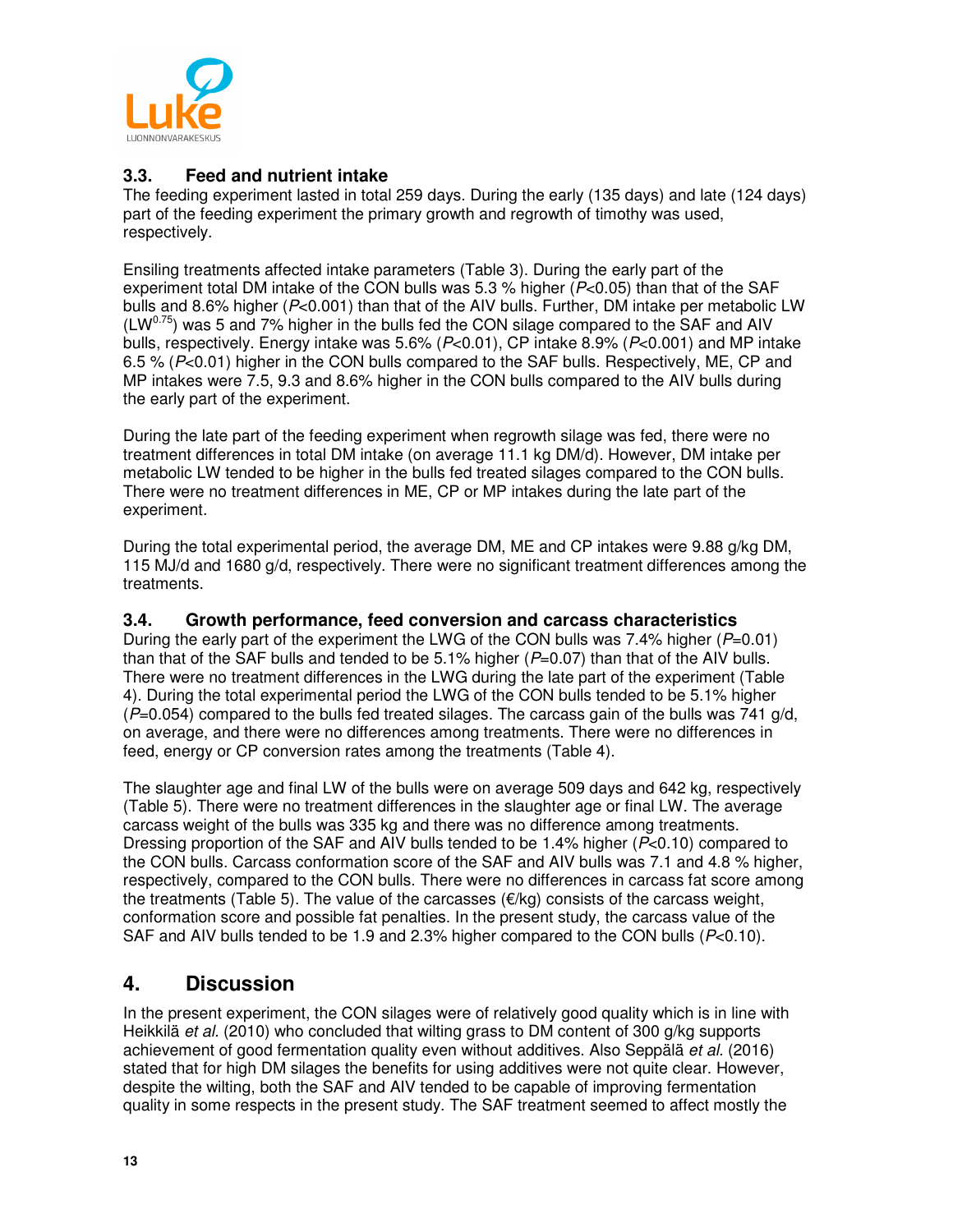

#### **3.3. Feed and nutrient intake**

The feeding experiment lasted in total 259 days. During the early (135 days) and late (124 days) part of the feeding experiment the primary growth and regrowth of timothy was used, respectively.

Ensiling treatments affected intake parameters (Table 3). During the early part of the experiment total DM intake of the CON bulls was 5.3 % higher ( $P<0.05$ ) than that of the SAF bulls and 8.6% higher (P<0.001) than that of the AIV bulls. Further, DM intake per metabolic LW  $(LW<sup>0.75</sup>)$  was 5 and 7% higher in the bulls fed the CON silage compared to the SAF and AIV bulls, respectively. Energy intake was 5.6% (P<0.01), CP intake 8.9% (P<0.001) and MP intake 6.5 % (P<0.01) higher in the CON bulls compared to the SAF bulls. Respectively, ME, CP and MP intakes were 7.5, 9.3 and 8.6% higher in the CON bulls compared to the AIV bulls during the early part of the experiment.

During the late part of the feeding experiment when regrowth silage was fed, there were no treatment differences in total DM intake (on average 11.1 kg DM/d). However, DM intake per metabolic LW tended to be higher in the bulls fed treated silages compared to the CON bulls. There were no treatment differences in ME, CP or MP intakes during the late part of the experiment.

During the total experimental period, the average DM, ME and CP intakes were 9.88 g/kg DM, 115 MJ/d and 1680 g/d, respectively. There were no significant treatment differences among the treatments.

#### **3.4. Growth performance, feed conversion and carcass characteristics**

During the early part of the experiment the LWG of the CON bulls was 7.4% higher ( $P=0.01$ ) than that of the SAF bulls and tended to be 5.1% higher  $(P=0.07)$  than that of the AIV bulls. There were no treatment differences in the LWG during the late part of the experiment (Table 4). During the total experimental period the LWG of the CON bulls tended to be 5.1% higher  $(P=0.054)$  compared to the bulls fed treated silages. The carcass gain of the bulls was 741 g/d. on average, and there were no differences among treatments. There were no differences in feed, energy or CP conversion rates among the treatments (Table 4).

The slaughter age and final LW of the bulls were on average 509 days and 642 kg, respectively (Table 5). There were no treatment differences in the slaughter age or final LW. The average carcass weight of the bulls was 335 kg and there was no difference among treatments. Dressing proportion of the SAF and AIV bulls tended to be 1.4% higher (P<0.10) compared to the CON bulls. Carcass conformation score of the SAF and AIV bulls was 7.1 and 4.8 % higher, respectively, compared to the CON bulls. There were no differences in carcass fat score among the treatments (Table 5). The value of the carcasses  $(\epsilon/\kappa q)$  consists of the carcass weight, conformation score and possible fat penalties. In the present study, the carcass value of the SAF and AIV bulls tended to be 1.9 and 2.3% higher compared to the CON bulls ( $P<0.10$ ).

### **4. Discussion**

In the present experiment, the CON silages were of relatively good quality which is in line with Heikkilä et al. (2010) who concluded that wilting grass to DM content of 300 g/kg supports achievement of good fermentation quality even without additives. Also Seppälä et al. (2016) stated that for high DM silages the benefits for using additives were not quite clear. However, despite the wilting, both the SAF and AIV tended to be capable of improving fermentation quality in some respects in the present study. The SAF treatment seemed to affect mostly the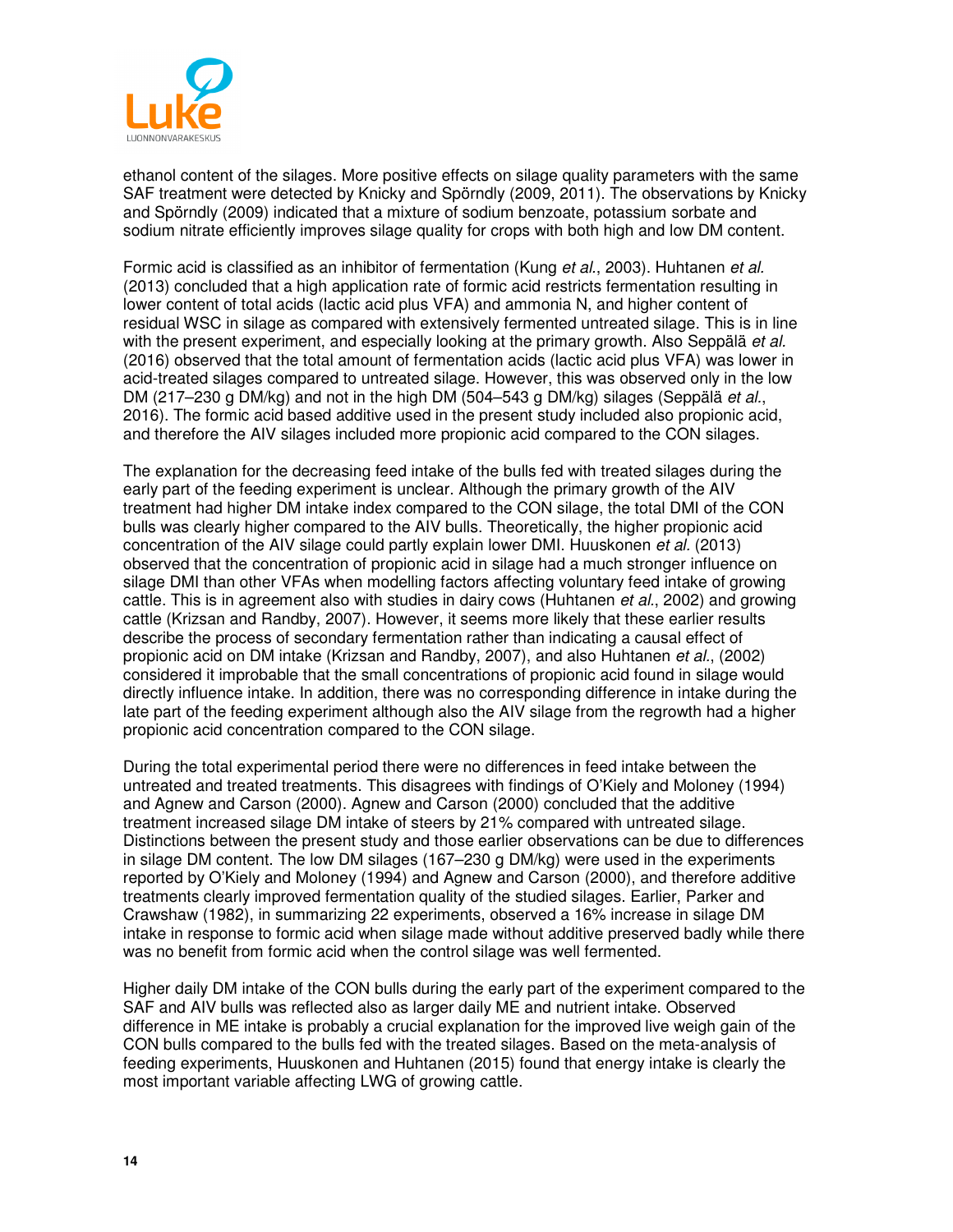

ethanol content of the silages. More positive effects on silage quality parameters with the same SAF treatment were detected by Knicky and Spörndly (2009, 2011). The observations by Knicky and Spörndly (2009) indicated that a mixture of sodium benzoate, potassium sorbate and sodium nitrate efficiently improves silage quality for crops with both high and low DM content.

Formic acid is classified as an inhibitor of fermentation (Kung et al., 2003). Huhtanen et al. (2013) concluded that a high application rate of formic acid restricts fermentation resulting in lower content of total acids (lactic acid plus VFA) and ammonia N, and higher content of residual WSC in silage as compared with extensively fermented untreated silage. This is in line with the present experiment, and especially looking at the primary growth. Also Seppälä et al. (2016) observed that the total amount of fermentation acids (lactic acid plus VFA) was lower in acid-treated silages compared to untreated silage. However, this was observed only in the low DM (217–230 g DM/kg) and not in the high DM (504–543 g DM/kg) silages (Seppälä et al., 2016). The formic acid based additive used in the present study included also propionic acid, and therefore the AIV silages included more propionic acid compared to the CON silages.

The explanation for the decreasing feed intake of the bulls fed with treated silages during the early part of the feeding experiment is unclear. Although the primary growth of the AIV treatment had higher DM intake index compared to the CON silage, the total DMI of the CON bulls was clearly higher compared to the AIV bulls. Theoretically, the higher propionic acid concentration of the AIV silage could partly explain lower DMI. Huuskonen et al. (2013) observed that the concentration of propionic acid in silage had a much stronger influence on silage DMI than other VFAs when modelling factors affecting voluntary feed intake of growing cattle. This is in agreement also with studies in dairy cows (Huhtanen et al., 2002) and growing cattle (Krizsan and Randby, 2007). However, it seems more likely that these earlier results describe the process of secondary fermentation rather than indicating a causal effect of propionic acid on DM intake (Krizsan and Randby, 2007), and also Huhtanen et al., (2002) considered it improbable that the small concentrations of propionic acid found in silage would directly influence intake. In addition, there was no corresponding difference in intake during the late part of the feeding experiment although also the AIV silage from the regrowth had a higher propionic acid concentration compared to the CON silage.

During the total experimental period there were no differences in feed intake between the untreated and treated treatments. This disagrees with findings of O'Kiely and Moloney (1994) and Agnew and Carson (2000). Agnew and Carson (2000) concluded that the additive treatment increased silage DM intake of steers by 21% compared with untreated silage. Distinctions between the present study and those earlier observations can be due to differences in silage DM content. The low DM silages (167–230 g DM/kg) were used in the experiments reported by O'Kiely and Moloney (1994) and Agnew and Carson (2000), and therefore additive treatments clearly improved fermentation quality of the studied silages. Earlier, Parker and Crawshaw (1982), in summarizing 22 experiments, observed a 16% increase in silage DM intake in response to formic acid when silage made without additive preserved badly while there was no benefit from formic acid when the control silage was well fermented.

Higher daily DM intake of the CON bulls during the early part of the experiment compared to the SAF and AIV bulls was reflected also as larger daily ME and nutrient intake. Observed difference in ME intake is probably a crucial explanation for the improved live weigh gain of the CON bulls compared to the bulls fed with the treated silages. Based on the meta-analysis of feeding experiments, Huuskonen and Huhtanen (2015) found that energy intake is clearly the most important variable affecting LWG of growing cattle.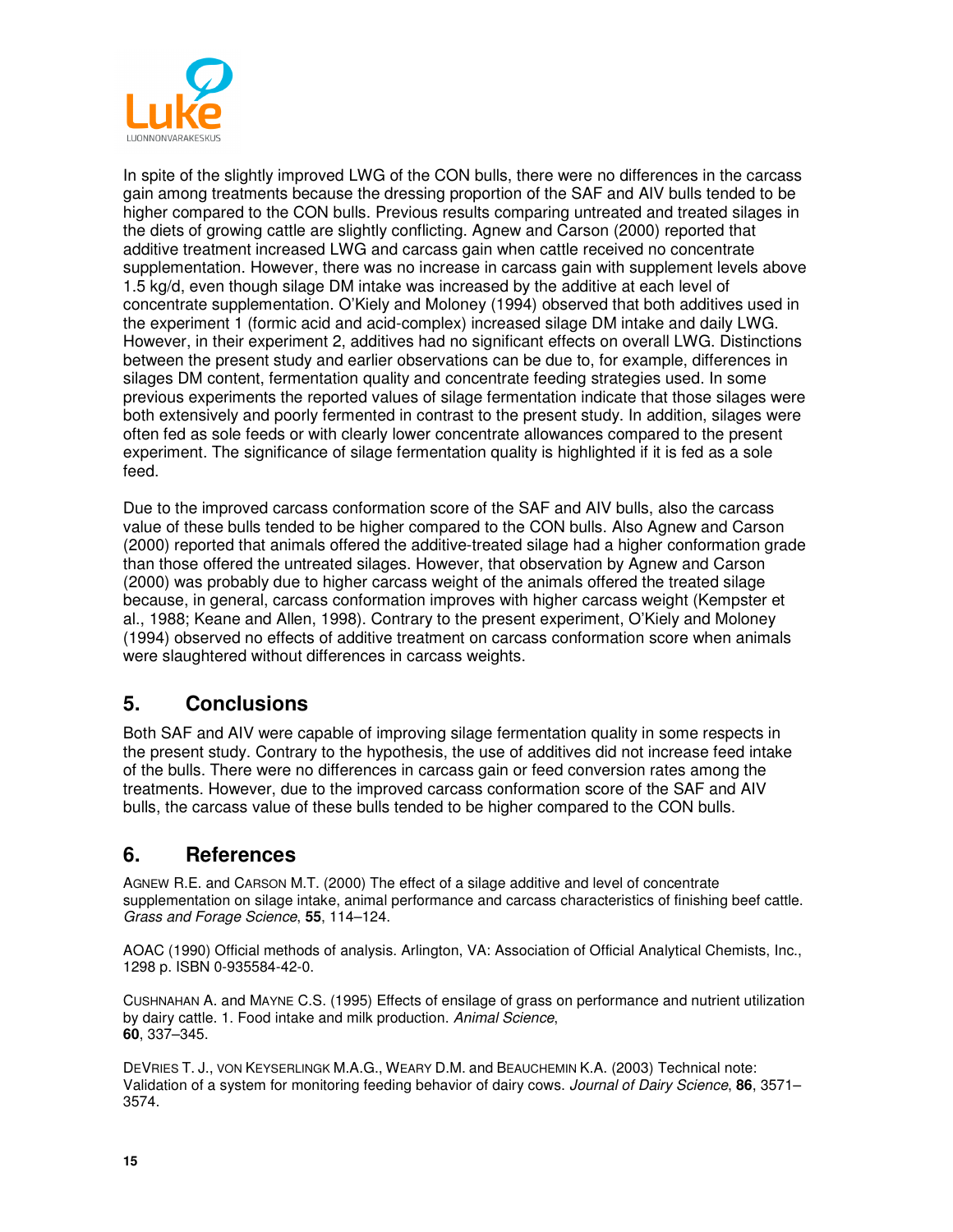

In spite of the slightly improved LWG of the CON bulls, there were no differences in the carcass gain among treatments because the dressing proportion of the SAF and AIV bulls tended to be higher compared to the CON bulls. Previous results comparing untreated and treated silages in the diets of growing cattle are slightly conflicting. Agnew and Carson (2000) reported that additive treatment increased LWG and carcass gain when cattle received no concentrate supplementation. However, there was no increase in carcass gain with supplement levels above 1.5 kg/d, even though silage DM intake was increased by the additive at each level of concentrate supplementation. O'Kiely and Moloney (1994) observed that both additives used in the experiment 1 (formic acid and acid-complex) increased silage DM intake and daily LWG. However, in their experiment 2, additives had no significant effects on overall LWG. Distinctions between the present study and earlier observations can be due to, for example, differences in silages DM content, fermentation quality and concentrate feeding strategies used. In some previous experiments the reported values of silage fermentation indicate that those silages were both extensively and poorly fermented in contrast to the present study. In addition, silages were often fed as sole feeds or with clearly lower concentrate allowances compared to the present experiment. The significance of silage fermentation quality is highlighted if it is fed as a sole feed.

Due to the improved carcass conformation score of the SAF and AIV bulls, also the carcass value of these bulls tended to be higher compared to the CON bulls. Also Agnew and Carson (2000) reported that animals offered the additive-treated silage had a higher conformation grade than those offered the untreated silages. However, that observation by Agnew and Carson (2000) was probably due to higher carcass weight of the animals offered the treated silage because, in general, carcass conformation improves with higher carcass weight (Kempster et al., 1988; Keane and Allen, 1998). Contrary to the present experiment, O'Kiely and Moloney (1994) observed no effects of additive treatment on carcass conformation score when animals were slaughtered without differences in carcass weights.

## **5. Conclusions**

Both SAF and AIV were capable of improving silage fermentation quality in some respects in the present study. Contrary to the hypothesis, the use of additives did not increase feed intake of the bulls. There were no differences in carcass gain or feed conversion rates among the treatments. However, due to the improved carcass conformation score of the SAF and AIV bulls, the carcass value of these bulls tended to be higher compared to the CON bulls.

## **6. References**

AGNEW R.E. and CARSON M.T. (2000) The effect of a silage additive and level of concentrate supplementation on silage intake, animal performance and carcass characteristics of finishing beef cattle. Grass and Forage Science, **55**, 114–124.

AOAC (1990) Official methods of analysis. Arlington, VA: Association of Official Analytical Chemists, Inc., 1298 p. ISBN 0-935584-42-0.

CUSHNAHAN A. and MAYNE C.S. (1995) Effects of ensilage of grass on performance and nutrient utilization by dairy cattle. 1. Food intake and milk production. Animal Science, **60**, 337–345.

DEVRIES T. J., VON KEYSERLINGK M.A.G., WEARY D.M. and BEAUCHEMIN K.A. (2003) Technical note: Validation of a system for monitoring feeding behavior of dairy cows. Journal of Dairy Science, **86**, 3571– 3574.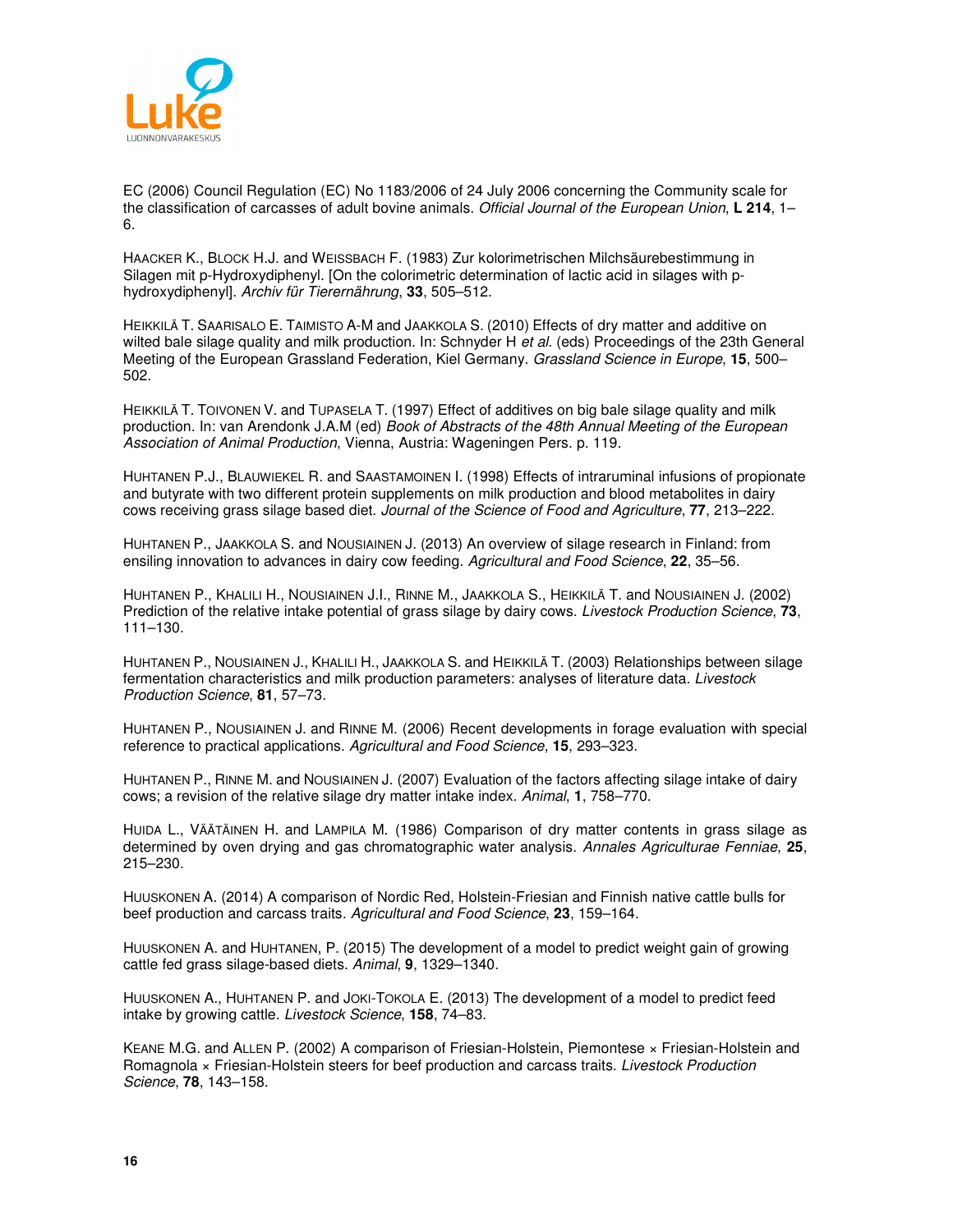

EC (2006) Council Regulation (EC) No 1183/2006 of 24 July 2006 concerning the Community scale for the classification of carcasses of adult bovine animals. Official Journal of the European Union, **L 214**, 1– 6.

HAACKER K., BLOCK H.J. and WEISSBACH F. (1983) Zur kolorimetrischen Milchsäurebestimmung in Silagen mit p-Hydroxydiphenyl. [On the colorimetric determination of lactic acid in silages with phydroxydiphenyl]. Archiv für Tierernährung, **33**, 505–512.

HEIKKILÄ T. SAARISALO E. TAIMISTO A-M and JAAKKOLA S. (2010) Effects of dry matter and additive on wilted bale silage quality and milk production. In: Schnyder H et al. (eds) Proceedings of the 23th General Meeting of the European Grassland Federation, Kiel Germany. Grassland Science in Europe, **15**, 500– 502.

HEIKKILÄ T. TOIVONEN V. and TUPASELA T. (1997) Effect of additives on big bale silage quality and milk production. In: van Arendonk J.A.M (ed) Book of Abstracts of the 48th Annual Meeting of the European Association of Animal Production, Vienna, Austria: Wageningen Pers. p. 119.

HUHTANEN P.J., BLAUWIEKEL R. and SAASTAMOINEN I. (1998) Effects of intraruminal infusions of propionate and butyrate with two different protein supplements on milk production and blood metabolites in dairy cows receiving grass silage based diet. Journal of the Science of Food and Agriculture, **77**, 213–222.

HUHTANEN P., JAAKKOLA S. and NOUSIAINEN J. (2013) An overview of silage research in Finland: from ensiling innovation to advances in dairy cow feeding. Agricultural and Food Science, **22**, 35–56.

HUHTANEN P., KHALILI H., NOUSIAINEN J.I., RINNE M., JAAKKOLA S., HEIKKILÄ T. and NOUSIAINEN J. (2002) Prediction of the relative intake potential of grass silage by dairy cows. Livestock Production Science, **73**, 111–130.

HUHTANEN P., NOUSIAINEN J., KHALILI H., JAAKKOLA S. and HEIKKILÄ T. (2003) Relationships between silage fermentation characteristics and milk production parameters: analyses of literature data. Livestock Production Science, **81**, 57–73.

HUHTANEN P., NOUSIAINEN J. and RINNE M. (2006) Recent developments in forage evaluation with special reference to practical applications. Agricultural and Food Science, **15**, 293–323.

HUHTANEN P., RINNE M. and NOUSIAINEN J. (2007) Evaluation of the factors affecting silage intake of dairy cows; a revision of the relative silage dry matter intake index. Animal, **1**, 758–770.

HUIDA L., VÄÄTÄINEN H. and LAMPILA M. (1986) Comparison of dry matter contents in grass silage as determined by oven drying and gas chromatographic water analysis. Annales Agriculturae Fenniae, **25**, 215–230.

HUUSKONEN A. (2014) A comparison of Nordic Red, Holstein-Friesian and Finnish native cattle bulls for beef production and carcass traits. Agricultural and Food Science, **23**, 159–164.

HUUSKONEN A. and HUHTANEN, P. (2015) The development of a model to predict weight gain of growing cattle fed grass silage-based diets. Animal, **9**, 1329–1340.

HUUSKONEN A., HUHTANEN P. and JOKI-TOKOLA E. (2013) The development of a model to predict feed intake by growing cattle. Livestock Science, **158**, 74–83.

KEANE M.G. and ALLEN P. (2002) A comparison of Friesian-Holstein, Piemontese × Friesian-Holstein and Romagnola × Friesian-Holstein steers for beef production and carcass traits. Livestock Production Science, **78**, 143–158.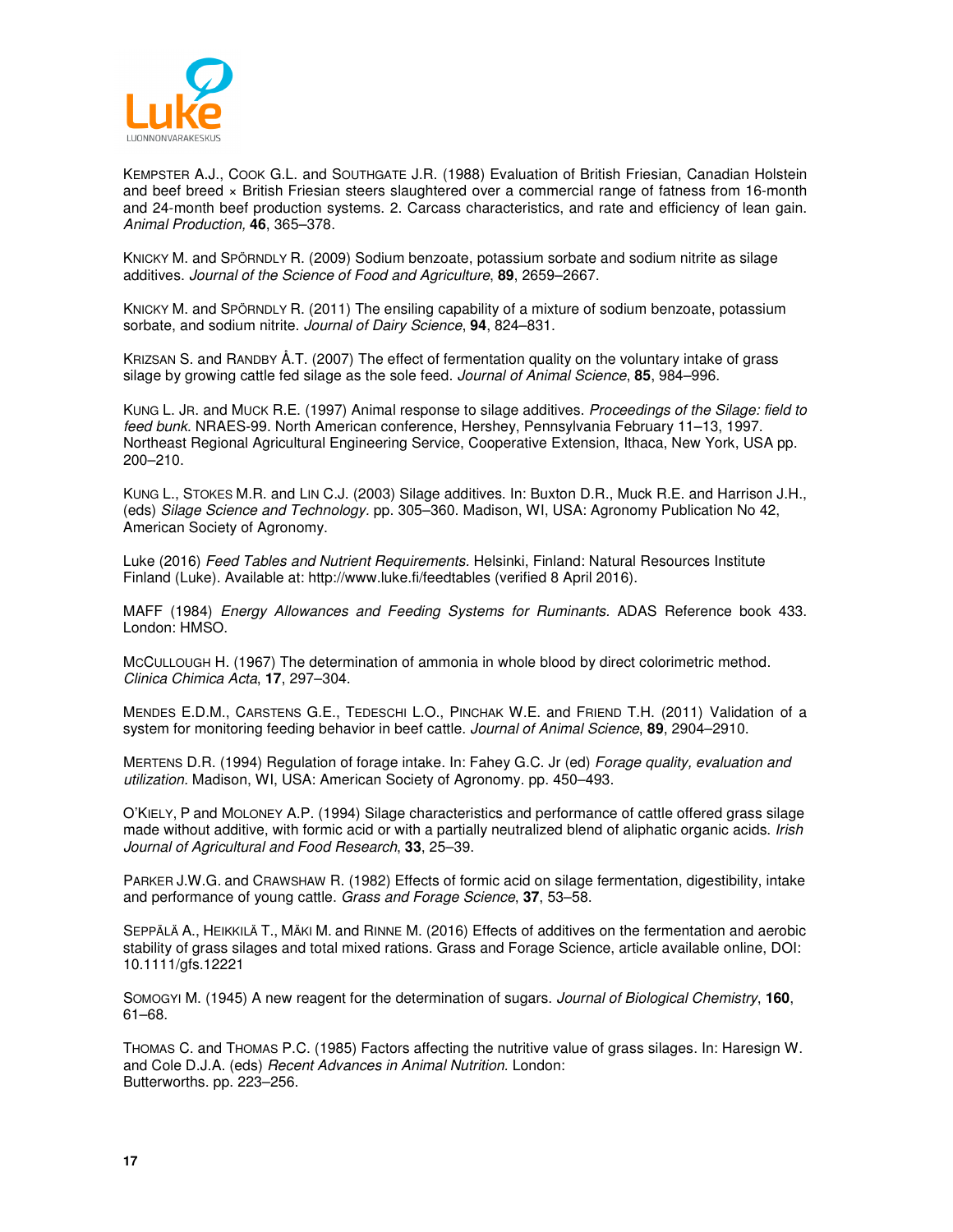

KEMPSTER A.J., COOK G.L. and SOUTHGATE J.R. (1988) Evaluation of British Friesian, Canadian Holstein and beef breed x British Friesian steers slaughtered over a commercial range of fatness from 16-month and 24-month beef production systems. 2. Carcass characteristics, and rate and efficiency of lean gain. Animal Production, **46**, 365–378.

KNICKY M. and SPÖRNDLY R. (2009) Sodium benzoate, potassium sorbate and sodium nitrite as silage additives. Journal of the Science of Food and Agriculture, **89**, 2659–2667.

KNICKY M. and SPÖRNDLY R. (2011) The ensiling capability of a mixture of sodium benzoate, potassium sorbate, and sodium nitrite. Journal of Dairy Science, **94**, 824–831.

KRIZSAN S. and RANDBY Å.T. (2007) The effect of fermentation quality on the voluntary intake of grass silage by growing cattle fed silage as the sole feed. Journal of Animal Science, **85**, 984–996.

KUNG L. JR. and MUCK R.E. (1997) Animal response to silage additives. Proceedings of the Silage: field to feed bunk. NRAES-99. North American conference, Hershey, Pennsylvania February 11–13, 1997. Northeast Regional Agricultural Engineering Service, Cooperative Extension, Ithaca, New York, USA pp. 200–210.

KUNG L., STOKES M.R. and LIN C.J. (2003) Silage additives. In: Buxton D.R., Muck R.E. and Harrison J.H., (eds) Silage Science and Technology. pp. 305–360. Madison, WI, USA: Agronomy Publication No 42, American Society of Agronomy.

Luke (2016) Feed Tables and Nutrient Requirements. Helsinki, Finland: Natural Resources Institute Finland (Luke). Available at: http://www.luke.fi/feedtables (verified 8 April 2016).

MAFF (1984) Energy Allowances and Feeding Systems for Ruminants. ADAS Reference book 433. London: HMSO.

MCCULLOUGH H. (1967) The determination of ammonia in whole blood by direct colorimetric method. Clinica Chimica Acta, **17**, 297–304.

MENDES E.D.M., CARSTENS G.E., TEDESCHI L.O., PINCHAK W.E. and FRIEND T.H. (2011) Validation of a system for monitoring feeding behavior in beef cattle. Journal of Animal Science, **89**, 2904–2910.

MERTENS D.R. (1994) Regulation of forage intake. In: Fahey G.C. Jr (ed) Forage quality, evaluation and utilization. Madison, WI, USA: American Society of Agronomy. pp. 450–493.

O'KIELY, P and MOLONEY A.P. (1994) Silage characteristics and performance of cattle offered grass silage made without additive, with formic acid or with a partially neutralized blend of aliphatic organic acids. Irish Journal of Agricultural and Food Research, **33**, 25–39.

PARKER J.W.G. and CRAWSHAW R. (1982) Effects of formic acid on silage fermentation, digestibility, intake and performance of young cattle. Grass and Forage Science, **37**, 53–58.

SEPPÄLÄ A., HEIKKILÄ T., MÄKI M. and RINNE M. (2016) Effects of additives on the fermentation and aerobic stability of grass silages and total mixed rations. Grass and Forage Science, article available online, DOI: 10.1111/gfs.12221

SOMOGYI M. (1945) A new reagent for the determination of sugars. Journal of Biological Chemistry, **160**, 61–68.

THOMAS C. and THOMAS P.C. (1985) Factors affecting the nutritive value of grass silages. In: Haresign W. and Cole D.J.A. (eds) Recent Advances in Animal Nutrition. London: Butterworths. pp. 223–256.